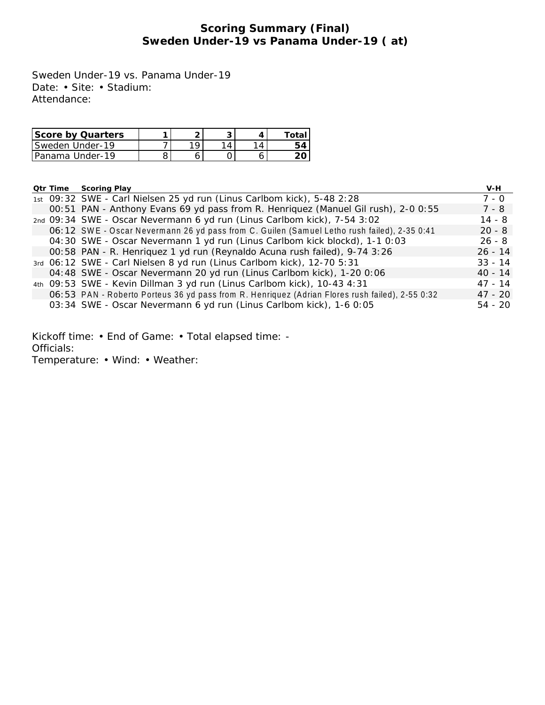# **Scoring Summary (Final) Sweden Under-19 vs Panama Under-19 ( at)**

Sweden Under-19 vs. Panama Under-19 Date: • Site: • Stadium: Attendance:

| Score by Quarters      |   |  |  |
|------------------------|---|--|--|
| <b>Sweden Under-19</b> | O |  |  |
| IPanama Under-19       |   |  |  |

|  | <b>Qtr Time Scoring Play</b>                                                                    | V-H       |
|--|-------------------------------------------------------------------------------------------------|-----------|
|  | 1st 09:32 SWE - Carl Nielsen 25 yd run (Linus Carlbom kick), 5-48 2:28                          | 7 - 0     |
|  | 00:51 PAN - Anthony Evans 69 yd pass from R. Henriquez (Manuel Gil rush), 2-0 0:55              | 7 - 8     |
|  | 2nd 09:34 SWE - Oscar Nevermann 6 yd run (Linus Carlbom kick), 7-54 3:02                        | $14 - 8$  |
|  | 06:12 SWE - Oscar Nevermann 26 yd pass from C. Guilen (Samuel Letho rush failed), 2-35 0:41     | $20 - 8$  |
|  | 04:30 SWE - Oscar Nevermann 1 yd run (Linus Carlbom kick blockd), 1-1 0:03                      | $26 - 8$  |
|  | 00:58 PAN - R. Henriquez 1 yd run (Reynaldo Acuna rush failed), 9-74 3:26                       | $26 - 14$ |
|  | 3rd 06:12 SWE - Carl Nielsen 8 yd run (Linus Carlbom kick), 12-70 5:31                          | $33 - 14$ |
|  | 04:48 SWE - Oscar Nevermann 20 yd run (Linus Carlbom kick), 1-20 0:06                           | $40 - 14$ |
|  | 4th 09:53 SWE - Kevin Dillman 3 yd run (Linus Carlbom kick), 10-43 4:31                         | $47 - 14$ |
|  | 06:53 PAN - Roberto Porteus 36 yd pass from R. Henriquez (Adrian Flores rush failed), 2-55 0:32 | $47 - 20$ |
|  | 03:34 SWE - Oscar Nevermann 6 yd run (Linus Carlbom kick), 1-6 0:05                             | $54 - 20$ |

Kickoff time: • End of Game: • Total elapsed time: - Officials:

Temperature: • Wind: • Weather: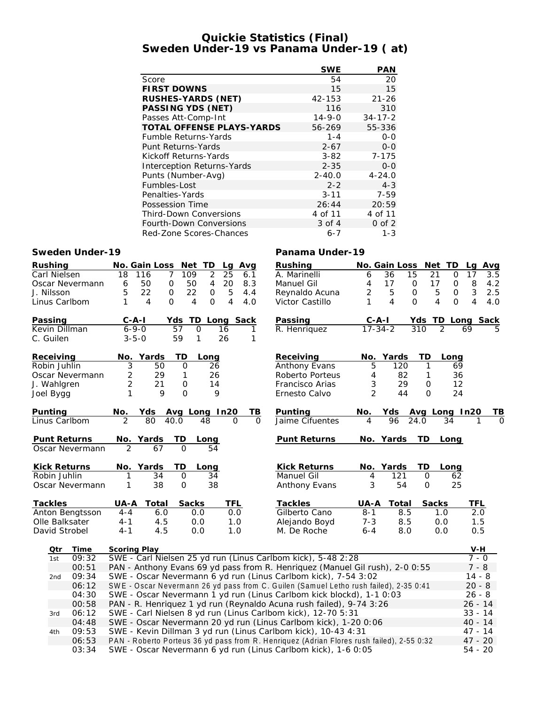## **Quickie Statistics (Final) Sweden Under-19 vs Panama Under-19 ( at)**

|                                  | <b>SWE</b>   | PAN           |
|----------------------------------|--------------|---------------|
| Score                            | 54           | 20            |
| <b>FIRST DOWNS</b>               | 15           | 15            |
| RUSHES-YARDS (NET)               | 42-153       | $21 - 26$     |
| PASSING YDS (NET)                | 116          | 310           |
| Passes Att-Comp-Int              | $14 - 9 - 0$ | $34 - 17 - 2$ |
| <b>TOTAL OFFENSE PLAYS-YARDS</b> | 56-269       | 55-336        |
| <b>Fumble Returns-Yards</b>      | $1 - 4$      | $0 - 0$       |
| Punt Returns-Yards               | $2 - 67$     | $0 - 0$       |
| Kickoff Returns-Yards            | $3 - 82$     | $7 - 175$     |
| Interception Returns-Yards       | $2 - 35$     | $0 - 0$       |
| Punts (Number-Avg)               | $2 - 40.0$   | $4 - 24.0$    |
| Fumbles-Lost                     | $2 - 2$      | $4 - 3$       |
| Penalties-Yards                  | $3 - 11$     | $7 - 59$      |
| Possession Time                  | 26:44        | 20:59         |
| <b>Third-Down Conversions</b>    | 4 of 11      | 4 of 11       |
| Fourth-Down Conversions          | $3$ of $4$   | $0$ of $2$    |
| Red-Zone Scores-Chances          | $6 - 7$      | $1 - 3$       |

### **Sweden Under-19 Panama Under-19**

| Rushing             |                 |                | No. Gain Loss Net TD       |                | Lg                   | Avg                  | Rushing                                                                                   |                | No. Gain Loss     |                   | Net TD         | La             | Avg      |
|---------------------|-----------------|----------------|----------------------------|----------------|----------------------|----------------------|-------------------------------------------------------------------------------------------|----------------|-------------------|-------------------|----------------|----------------|----------|
| Carl Nielsen        |                 | 18             | 7<br>116                   | 109            | $\overline{2}$<br>25 | 6.1                  | A. Marinelli                                                                              | 6              | 36                | 15<br>21          | $\mathbf{O}$   | 17             | 3.5      |
|                     | Oscar Nevermann | 6              | 50<br>0                    | 50             | 4<br>20              | 8.3                  | Manuel Gil                                                                                | 4              | 17                | 17<br>0           | 0              | 8              | 4.2      |
| J. Nilsson          |                 | 5              | 22<br>$\mathbf{O}$         | 22             | $\mathsf O$          | 5<br>4.4             | Reynaldo Acuna                                                                            | 2              | 5                 | 5<br>$\mathbf{O}$ | $\mathbf 0$    | $\mathfrak{Z}$ | 2.5      |
| Linus Carlbom       |                 | 1              | $\overline{4}$<br>$\Omega$ | $\overline{4}$ | $\mathbf{O}$         | 4<br>4.0             | Victor Castillo                                                                           | 1              | $\overline{4}$    | $\Omega$<br>4     | $\Omega$       | $\overline{4}$ | 4.0      |
| Passing             |                 | $C - A - I$    |                            | TD<br>Yds      |                      | Long Sack            | Passing                                                                                   | <u>C-A-I</u>   |                   | Yds TD Long Sack  |                |                |          |
| Kevin Dillman       |                 | $6 - 9 - 0$    |                            | 57<br>0        | 16                   | 1                    | R. Henriquez                                                                              | $17 - 34 - 2$  |                   | 310               | $\mathfrak{D}$ | 69             |          |
| C. Guilen           |                 | $3 - 5 - 0$    |                            | 59<br>1        | 26                   | 1                    |                                                                                           |                |                   |                   |                |                |          |
| Receiving           |                 | No.            | Yards                      | TD             | Long                 |                      | Receiving                                                                                 | No.            | Yards             | TD                | Long           |                |          |
| Robin Juhlin        |                 | 3              | 50                         | $\mathbf{O}$   | 26                   |                      | Anthony Evans                                                                             | 5              | 120               | $\mathbf{1}$      | 69             |                |          |
|                     | Oscar Nevermann | 2              | 29                         | 1              | 26                   |                      | Roberto Porteus                                                                           | 4              | 82                | $\mathbf{1}$      | 36             |                |          |
| J. Wahlgren         |                 | 2              | 21                         | 0              | 14                   |                      | Francisco Arias                                                                           | 3              | 29                | $\mathbf 0$       | 12             |                |          |
| Joel Bygg           |                 | 1              | 9                          | $\Omega$       | 9                    |                      | Ernesto Calvo                                                                             | $\overline{2}$ | 44                | $\Omega$          | 24             |                |          |
| Punting             |                 | No.            | Yds Avg Long In20          |                |                      | TВ                   | Punting                                                                                   | No.            | Yds Avg Long In20 |                   |                |                | ΤB       |
| Linus Carlbom       |                 | $\overline{2}$ | 80                         | 40.0           | 48                   | $\Omega$<br>$\Omega$ | Jaime Cifuentes                                                                           | 4              | 96                | 24.0              | 34             | 1              | $\Omega$ |
| Punt Returns        |                 |                | No. Yards                  | ТD             | Long                 |                      | Punt Returns                                                                              |                | No. Yards         | TD                | Long           |                |          |
|                     | Oscar Nevermann | $\mathcal{P}$  | 67                         | $\Omega$       | 54                   |                      |                                                                                           |                |                   |                   |                |                |          |
| <b>Kick Returns</b> |                 |                | No. Yards                  | TD             | Long                 |                      | <b>Kick Returns</b>                                                                       |                | No. Yards         | TD                | Long           |                |          |
| Robin Juhlin        |                 | 1              | 34                         | $\mathbf{O}$   | 34                   |                      | Manuel Gil                                                                                | 4              | 121               | 0                 | 62             |                |          |
|                     | Oscar Nevermann | 1              | 38                         | $\overline{O}$ | 38                   |                      | Anthony Evans                                                                             | 3              | 54                | $\mathbf{O}$      | 25             |                |          |
| Tackles             |                 | UA-A           | Total                      | Sacks          |                      | TFL                  | Tackles                                                                                   | $UA - A$       | Total             | Sacks             |                | TFL            |          |
| Anton Bengtsson     |                 | $4 - 4$        | 6.0                        | 0.0            |                      | 0.0                  | Gilberto Cano                                                                             | $8 - 1$        | 8.5               |                   | 1.0            | 2.0            |          |
| Olle Balksater      |                 | $4 - 1$        | 4.5                        | 0.0            |                      | 1.0                  | Alejando Boyd                                                                             | $7 - 3$        | 8.5               |                   | 0.0            | 1.5            |          |
| David Strobel       |                 | $4 - 1$        | 4.5                        | 0.0            |                      | 1.0                  | M. De Roche                                                                               | $6 - 4$        | 8.0               |                   | 0.0            | 0.5            |          |
| Qtr                 | Time            | Scoring Play   |                            |                |                      |                      |                                                                                           |                |                   |                   |                | V-H            |          |
| 1st                 | 09:32           |                |                            |                |                      |                      | SWE - Carl Nielsen 25 yd run (Linus Carlbom kick), 5-48 2:28                              |                |                   |                   |                | $7 - 0$        |          |
|                     | 00:51           |                |                            |                |                      |                      | PAN - Anthony Evans 69 yd pass from R. Henriquez (Manuel Gil rush), 2-0 0:55              |                |                   |                   |                | $7 - 8$        |          |
| 2nd                 | 09:34           |                |                            |                |                      |                      | SWE - Oscar Nevermann 6 yd run (Linus Carlbom kick), 7-54 3:02                            |                |                   |                   |                | $14 - 8$       |          |
|                     | 06:12           |                |                            |                |                      |                      | SWE - Oscar Nevermann 26 yd pass from C. Guilen (Samuel Letho rush failed), 2-35 0:41     |                |                   |                   |                | $20 - 8$       |          |
|                     | 04:30           |                |                            |                |                      |                      | SWE - Oscar Nevermann 1 yd run (Linus Carlbom kick blockd), 1-1 0:03                      |                |                   |                   |                | $26 - 8$       |          |
|                     | 00:58           |                |                            |                |                      |                      | PAN - R. Henriquez 1 yd run (Reynaldo Acuna rush failed), 9-74 3:26                       |                |                   |                   |                | $26 - 14$      |          |
| 3rd                 | 06:12           |                |                            |                |                      |                      | SWE - Carl Nielsen 8 yd run (Linus Carlbom kick), 12-70 5:31                              |                |                   |                   |                | $33 - 14$      |          |
|                     | 04:48           |                |                            |                |                      |                      | SWE - Oscar Nevermann 20 yd run (Linus Carlbom kick), 1-20 0:06                           |                |                   |                   |                | $40 - 14$      |          |
| 4th                 | 09:53           |                |                            |                |                      |                      | SWE - Kevin Dillman 3 yd run (Linus Carlbom kick), 10-43 4:31                             |                |                   |                   |                | $47 - 14$      |          |
|                     | 06:53           |                |                            |                |                      |                      | PAN - Roberto Porteus 36 yd pass from R. Henriquez (Adrian Flores rush failed), 2-55 0:32 |                |                   |                   |                | $47 - 20$      |          |
|                     | 03:34           |                |                            |                |                      |                      | SWE - Oscar Nevermann 6 yd run (Linus Carlbom kick), 1-6 0:05                             |                |                   |                   |                | $54 - 20$      |          |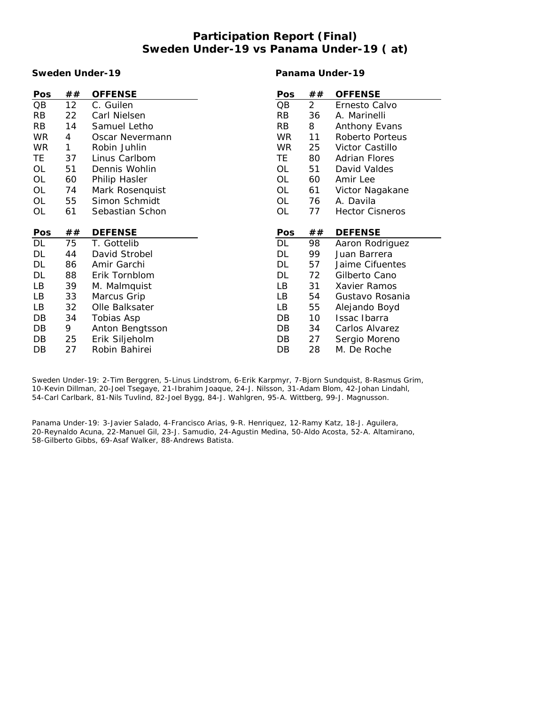# **Participation Report (Final) Sweden Under-19 vs Panama Under-19 ( at)**

### **Sweden Under-19**

**Panama Under-19**

| Pos       | ##           | <b>OFFENSE</b>                  | Pos       | ##             | <b>OFFENSE</b>         |
|-----------|--------------|---------------------------------|-----------|----------------|------------------------|
| QB        | 12           | C. Guilen                       | QB        | $\overline{2}$ | Ernesto Calvo          |
| RB        | 22           | Carl Nielsen                    | <b>RB</b> | 36             | A. Marinelli           |
| RB        | 14           | Samuel Letho                    | <b>RB</b> | 8              | Anthony Evans          |
| <b>WR</b> | 4            | Oscar Nevermann                 | <b>WR</b> | 11             | Roberto Porteus        |
| <b>WR</b> | $\mathbf{1}$ | Robin Juhlin                    | <b>WR</b> | 25             | Victor Castillo        |
| TE        | 37           | Linus Carlbom                   | TE        | 80             | <b>Adrian Flores</b>   |
| OL        | 51           | Dennis Wohlin                   | OL        | 51             | David Valdes           |
| OL        | 60           | Philip Hasler                   | OL        | 60             | Amir Lee               |
| OL        | 74           | Mark Rosenquist                 | OL        | 61             | Victor Nagakane        |
| OL        | 55           | Simon Schmidt                   | OL        | 76             | A. Davila              |
| OL        | 61           | Sebastian Schon                 | OL        | 77             | <b>Hector Cisneros</b> |
|           |              |                                 |           |                |                        |
| Pos       | ##           | <b>DEFENSE</b>                  | Pos       | ##             | <b>DEFENSE</b>         |
| DL        | 75           | T. Gottelib                     | DL        | 98             | Aaron Rodriguez        |
|           |              |                                 |           |                |                        |
| DL        | 44           | David Strobel                   | DL        | 99             | Juan Barrera           |
| DL        | 86           | Amir Garchi                     | DL        | 57             | Jaime Cifuentes        |
| DL        | 88           | Erik Tornblom                   | DL        | 72             | Gilberto Cano          |
| LB        | 39           | M. Malmquist                    | LB        | 31             | Xavier Ramos           |
| LB        | 33           | Marcus Grip                     | LB        | 54             | Gustavo Rosania        |
| LB        | 32           | Olle Balksater                  | LB        | 55             | Alejando Boyd          |
| DB        | 34           | Tobias Asp                      | DB        | 10             | Issac Ibarra           |
| DB        | 9            | Anton Bengtsson                 | DB        | 34             | Carlos Alvarez         |
| DB        | 25<br>27     | Erik Siljeholm<br>Robin Bahirei | DB<br>DB  | 27<br>28       | Sergio Moreno          |

Sweden Under-19: 2-Tim Berggren, 5-Linus Lindstrom, 6-Erik Karpmyr, 7-Bjorn Sundquist, 8-Rasmus Grim, 10-Kevin Dillman, 20-Joel Tsegaye, 21-Ibrahim Joaque, 24-J. Nilsson, 31-Adam Blom, 42-Johan Lindahl, 54-Carl Carlbark, 81-Nils Tuvlind, 82-Joel Bygg, 84-J. Wahlgren, 95-A. Wittberg, 99-J. Magnusson.

Panama Under-19: 3-Javier Salado, 4-Francisco Arias, 9-R. Henriquez, 12-Ramy Katz, 18-J. Aguilera, 20-Reynaldo Acuna, 22-Manuel Gil, 23-J. Samudio, 24-Agustin Medina, 50-Aldo Acosta, 52-A. Altamirano, 58-Gilberto Gibbs, 69-Asaf Walker, 88-Andrews Batista.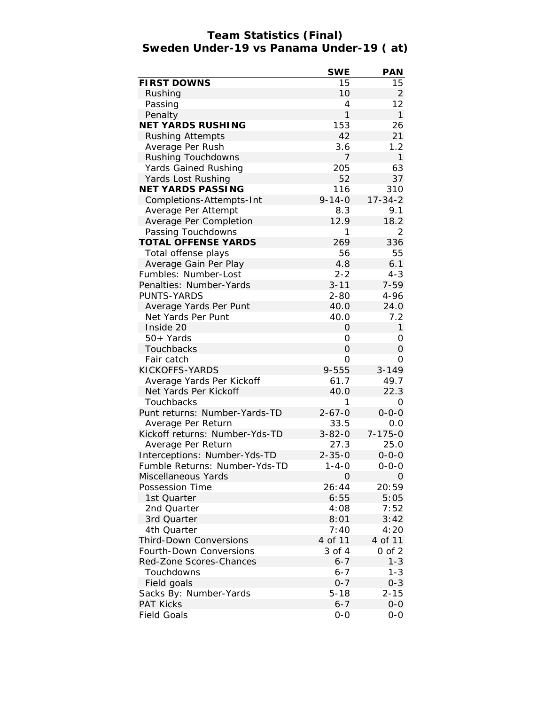## **Team Statistics (Final) Sweden Under-19 vs Panama Under-19 ( at)**

|                                                          | <b>SWE</b>        | <b>PAN</b>            |
|----------------------------------------------------------|-------------------|-----------------------|
| <b>FIRST DOWNS</b>                                       | 15                | 15                    |
| Rushing                                                  | 10                | 2                     |
| Passing                                                  | $\overline{4}$    | 12                    |
| Penalty                                                  | $\mathbf{1}$      | $\mathbf{1}$          |
| NET YARDS RUSHING                                        | 153               | 26                    |
| <b>Rushing Attempts</b>                                  | 42                | 21                    |
| Average Per Rush                                         | 3.6               | 1.2                   |
| Rushing Touchdowns                                       | 7                 | $\mathbf{1}$          |
| Yards Gained Rushing                                     | 205               | 63                    |
| Yards Lost Rushing                                       | 52                | 37                    |
| NET YARDS PASSING                                        | 116               | 310                   |
| Completions-Attempts-Int                                 | $9 - 14 - 0$      | $17 - 34 - 2$         |
| Average Per Attempt                                      | 8.3               | 9.1                   |
| Average Per Completion                                   | 12.9              | 18.2                  |
| Passing Touchdowns                                       | 1                 | 2                     |
| TOTAL OFFENSE YARDS                                      | 269               | 336                   |
| Total offense plays                                      | 56                | 55                    |
| Average Gain Per Play                                    | 4.8               | 6.1                   |
| Fumbles: Number-Lost                                     | $2 - 2$           | $4 - 3$               |
| Penalties: Number-Yards                                  | $3 - 11$          | $7 - 59$              |
| PUNTS-YARDS                                              | $2 - 80$          | 4-96                  |
| Average Yards Per Punt                                   | 40.0              | 24.0                  |
| Net Yards Per Punt                                       | 40.0              | 7.2                   |
| Inside 20                                                | 0                 | $\mathbf{1}$          |
| 50+ Yards                                                | 0                 | Ο                     |
| Touchbacks                                               | $\overline{O}$    | 0                     |
| Fair catch                                               | 0                 | Ο                     |
| KICKOFFS-YARDS                                           | 9-555             | $3 - 149$             |
| Average Yards Per Kickoff                                | 61.7              | 49.7                  |
| Net Yards Per Kickoff                                    | 40.0              | 22.3                  |
| Touchbacks                                               | 1                 | 0                     |
| Punt returns: Number-Yards-TD                            | $2 - 67 - 0$      | $0 - 0 - 0$           |
| Average Per Return                                       | 33.5              | 0.0                   |
| Kickoff returns: Number-Yds-TD                           | $3 - 82 - 0$      | $7 - 175 - 0$         |
| Average Per Return                                       | 27.3              | 25.0                  |
| Interceptions: Number-Yds-TD                             | $2 - 35 - 0$      | $0 - 0 - 0$           |
| Fumble Returns: Number-Yds-TD                            | $1 - 4 - 0$       | $0 - 0 - 0$           |
| Miscellaneous Yards                                      | $\Omega$          | 0                     |
| Possession Time                                          | 26:44             | 20:59                 |
| 1st Quarter                                              | 6:55              | 5:05                  |
| 2nd Quarter                                              | 4:08              | 7:52                  |
| 3rd Quarter                                              |                   | 3:42                  |
| 4th Quarter                                              | 8:01<br>7:40      | 4:20                  |
|                                                          |                   |                       |
| <b>Third-Down Conversions</b><br>Fourth-Down Conversions | 4 of 11<br>3 of 4 | 4 of 11<br>$0$ of $2$ |
|                                                          |                   | $1 - 3$               |
| Red-Zone Scores-Chances                                  | $6 - 7$           |                       |
| Touchdowns                                               | $6 - 7$           | $1 - 3$               |
| Field goals                                              | $0 - 7$           | $0 - 3$               |
| Sacks By: Number-Yards                                   | $5 - 18$          | $2 - 15$              |
| <b>PAT Kicks</b>                                         | $6 - 7$           | $0-0$                 |
| <b>Field Goals</b>                                       | $O-O$             | $O-O$                 |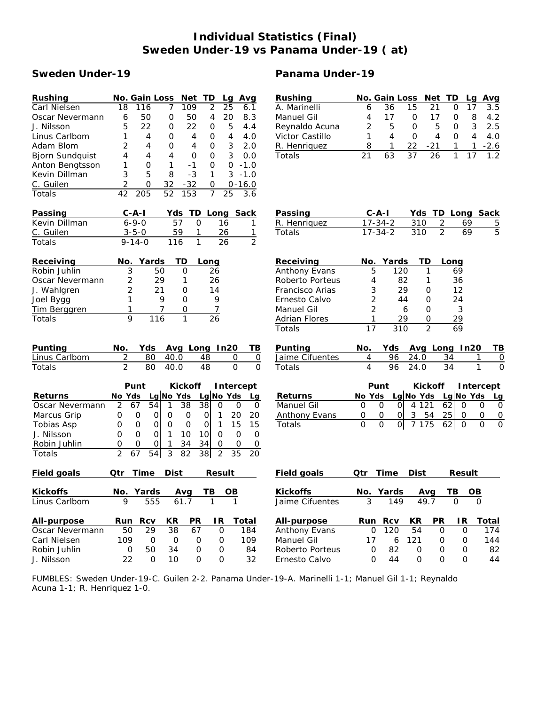# **Individual Statistics (Final) Sweden Under-19 vs Panama Under-19 ( at)**

## **Sweden Under-19 Panama Under-19**

| Rushing                | No. Gain Loss<br>Net TD<br>Avg<br>Lg                                                                                     | Rushing              | No. Gain Loss<br>Net TD<br>Avg<br>Lg                                                                 |
|------------------------|--------------------------------------------------------------------------------------------------------------------------|----------------------|------------------------------------------------------------------------------------------------------|
| Carl Nielsen           | 109<br>25<br>18<br>116<br>7<br>2<br>6.1                                                                                  | A. Marinelli         | 15<br>21<br>17<br>6<br>36<br>0<br>3.5                                                                |
| Oscar Nevermann        | 50<br>20<br>50<br>$\overline{4}$<br>8.3<br>6<br>0                                                                        | Manuel Gil           | 17<br>$\mathsf O$<br>8<br>4.2<br>4<br>17<br>0                                                        |
| J. Nilsson             | 22<br>22<br>5<br>5<br>$\mathbf{O}$<br>$\mathbf 0$<br>4.4                                                                 | Reynaldo Acuna       | 3<br>2<br>5<br>$\mathbf 0$<br>5<br>$\Omega$<br>2.5                                                   |
| Linus Carlbom          | 1<br>4<br>$\mathbf{O}$<br>$\overline{4}$<br>4<br>4.0<br>0                                                                | Victor Castillo      | $\overline{4}$<br>1<br>$\overline{4}$<br>$\mathbf 0$<br>$\overline{4}$<br>$\Omega$<br>4.0            |
| Adam Blom              | 2<br>3<br>$\mathbf{O}$<br>2.0<br>4<br>4<br>0                                                                             | R. Henriquez         | 8<br>1<br>22<br>$-2.6$<br>$-21$<br>1<br>1                                                            |
| <b>Bjorn Sundquist</b> | 4<br>$\mathbf 0$<br>3<br>0.0<br>4<br>$\mathsf O$<br>4                                                                    | Totals               | 21<br>63<br>37<br>26<br>1.2<br>1<br>17                                                               |
| Anton Bengtsson        | 1<br>$\mathbf 0$<br>$-1$<br>1<br>$\mathbf{O}$<br>$\mathsf{O}$<br>$-1.0$                                                  |                      |                                                                                                      |
| Kevin Dillman          | 3<br>5<br>8<br>$-3$<br>3<br>$-1.0$<br>$\mathbf{1}$                                                                       |                      |                                                                                                      |
| C. Guilen              | $\overline{2}$<br>32<br>$-32$<br>0<br>$0 - 16.0$<br>0                                                                    |                      |                                                                                                      |
| Totals                 | 205<br>52<br>$\overline{7}$<br>3.6<br>42<br>153<br>25                                                                    |                      |                                                                                                      |
| Passing                | $C - A - I$<br>TD<br>Long Sack<br>Yds                                                                                    | Passing              | $C - A - I$<br>TD Long<br>Sack<br>Yds                                                                |
| Kevin Dillman          | $6 - 9 - 0$<br>57<br>$\mathsf{O}$<br>16<br>1                                                                             | R. Henriquez         | $17 - 34 - 2$<br>$\overline{2}$<br>310<br>69<br>$\overline{5}$                                       |
| C. Guilen              | $3 - 5 - 0$<br>59<br>26<br>1<br>1                                                                                        | Totals               | $\overline{5}$<br>$\overline{2}$<br>69<br>$17 - 34 - 2$<br>310                                       |
| Totals                 | 1<br>26<br>$\overline{2}$<br>$9 - 14 - 0$<br>116                                                                         |                      |                                                                                                      |
|                        |                                                                                                                          |                      |                                                                                                      |
| Receiving              | Yards<br>TD<br>No.<br>Long                                                                                               | Receiving            | No. Yards<br>TD<br>Long                                                                              |
| Robin Juhlin           | 3<br>50<br>$\Omega$<br>26                                                                                                | Anthony Evans        | 5<br>120<br>69<br>1                                                                                  |
| Oscar Nevermann        | 2<br>29<br>26<br>1                                                                                                       | Roberto Porteus      | 4<br>82<br>36<br>1                                                                                   |
| J. Wahlgren            | $\overline{2}$<br>21<br>14<br>0                                                                                          | Francisco Arias      | 3<br>29<br>12<br>0                                                                                   |
| Joel Bygg              | 1<br>9<br>$\mathsf{O}\xspace$<br>9                                                                                       | Ernesto Calvo        | $\overline{c}$<br>44<br>24<br>$\mathbf{O}$                                                           |
| Tim Berggren           | 1<br>7<br>7<br>$\mathsf O$                                                                                               | Manuel Gil           | $\overline{2}$<br>3<br>6<br>$\mathbf{O}$                                                             |
| Totals                 | 9<br>116<br>$\mathbf{1}$<br>$\overline{26}$                                                                              | <b>Adrian Flores</b> | $\mathbf{1}$<br>29<br>$\overline{29}$<br>$\mathsf{O}$                                                |
|                        |                                                                                                                          | Totals               | $\overline{2}$<br>17<br>310<br>69                                                                    |
|                        |                                                                                                                          |                      |                                                                                                      |
| Punting                | Avg Long In20<br>No.<br>Yds<br><u>ТВ</u>                                                                                 | Punting              | Yds<br>Avg Long In20<br>No.<br>ΤB                                                                    |
| Linus Carlbom          | $\overline{2}$<br>80<br>40.0<br>48<br>$\mathsf{O}$<br>$\mathsf{O}\xspace$                                                | Jaime Cifuentes      | 96<br>24.0<br>4<br>34<br>$\circ$<br>1                                                                |
| Totals                 | $\overline{2}$<br>$\overline{\mathrm{o}}$<br>$\overline{O}$<br>80<br>40.0<br>48                                          | Totals               | $\overline{4}$<br>24.0<br>96<br>34<br>$\mathbf{1}$<br>O                                              |
|                        |                                                                                                                          |                      |                                                                                                      |
|                        | Kickoff<br>Punt<br>Intercept                                                                                             |                      | Punt<br>Kickoff<br>Intercept                                                                         |
| Returns                | Lg No Yds<br>No Yds<br>Lg No Yds<br>Lg                                                                                   | Returns              | Lg No Yds Lg No Yds<br>No Yds<br>$\overline{Lg}$                                                     |
| Oscar Nevermann        | $\overline{2}$<br>38<br>38<br>67<br>54<br>$\mathbf{1}$<br>$\mathbf{O}$<br>$\mathbf 0$<br>$\mathbf 0$                     | Manuel Gil           | 4 1 2 1<br>62<br>$\mathbf 0$<br>$\mathbf{O}$<br>$\mathbf 0$<br>$\overline{O}$<br>$\overline{O}$<br>0 |
| Marcus Grip            | $\mathsf{O}\xspace$<br>$\mathbf 0$<br>$\circ$<br>$\mathbf{1}$<br>20<br>20<br>$\mathsf{O}$<br>$\mathsf{O}$<br>$\mathbf 0$ | Anthony Evans        | 25<br> 0 <br>3<br>54<br>0<br>$\mathsf{O}\xspace$<br>$\overline{O}$<br>$\mathsf O$<br>$\mathsf O$     |
| Tobias Asp             | $\mathsf{O}$<br>$\mathbf 0$<br>$\mathsf{O}$<br>$\mathbf 0$<br>15<br>15<br>0<br>$\overline{0}$<br>$\mathbf{1}$            | Totals               | $\overline{0}$<br>$\mathbf{O}$<br>$\Omega$<br>$\overline{O}$<br> 0 <br>7 1 7 5<br>62<br>$\mathbf 0$  |
| J. Nilsson             | 0<br>$\mathsf{O}$<br>$\mathbf 0$<br>10<br>10<br>$\mathsf{O}$<br>1<br>$\mathbf 0$<br>$\mathbf 0$                          |                      |                                                                                                      |
| Robin Juhlin           | 34<br>0<br>$\mathsf O$<br>34<br>0<br>1<br>$\mathsf O$<br>$\mathsf O$<br>O                                                |                      |                                                                                                      |
| Totals                 | $\overline{2}$<br>$\overline{3}$<br>82<br>38<br>$\overline{2}$<br>$\overline{35}$<br>67<br>54<br>$\overline{20}$         |                      |                                                                                                      |
|                        |                                                                                                                          |                      |                                                                                                      |
| Field goals            | Time<br>Dist<br>Result<br>Qtr                                                                                            | Field goals          | Time<br>Dist<br>Qtr<br>Result                                                                        |
|                        | Yards                                                                                                                    |                      |                                                                                                      |
| <b>Kickoffs</b>        | TB<br>No.<br><b>OB</b><br>Avg                                                                                            | <b>Kickoffs</b>      | Yards<br>TB<br>$\overline{OB}$<br>No.<br>Avg                                                         |
| Linus Carlbom          | 9<br>555<br>61.7<br>1                                                                                                    | Jaime Cifuentes      | 49.7<br>3<br>149<br>$\Omega$<br>$\Omega$                                                             |
| All-purpose            | PR<br>IR.<br>Total<br>Run<br>Rcv<br>KR                                                                                   | All-purpose          | <b>PR</b><br>IR<br>Total<br>Run<br>Rcv<br>KR.                                                        |
| Oscar Nevermann        | 67<br>50<br>29<br>38<br>0<br>184                                                                                         | Anthony Evans        | 174<br>0<br>120<br>54<br>0<br>$\mathbf 0$                                                            |
| Carl Nielsen           | 109<br>109<br>$\mathsf{O}$<br>$\mathsf{O}$<br>$\mathsf{O}$<br>0                                                          | Manuel Gil           | 17<br>$\boldsymbol{6}$<br>121<br>144<br>0<br>0                                                       |
| Robin Juhlin           | $\mathsf O$<br>50<br>34<br>$\mathsf{O}\xspace$<br>84<br>O                                                                | Roberto Porteus      | 82<br>$\mathbf 0$<br>82<br>O<br>0<br>0                                                               |
| J. Nilsson             | 32<br>22<br>10<br>$\mathsf{O}$<br>$\mathsf{O}$<br>$\mathsf{O}$                                                           | Ernesto Calvo        | 44<br>44<br>0<br>$\mathbf{O}$<br>$\mathbf{O}$<br>$\overline{O}$                                      |

FUMBLES: Sweden Under-19-C. Guilen 2-2. Panama Under-19-A. Marinelli 1-1; Manuel Gil 1-1; Reynaldo Acuna 1-1; R. Henriquez 1-0.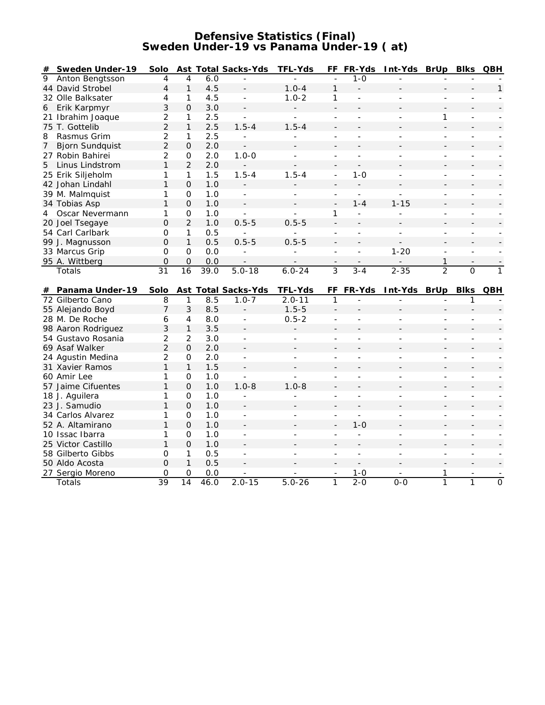## **Defensive Statistics (Final) Sweden Under-19 vs Panama Under-19 ( at)**

| #              | Sweden Under-19            | Solo           |                     |             | Ast Total Sacks-Yds      | TFL-Yds                  |                               |                          | FF FR-Yds Int-Yds BrUp |                          | <b>Blks</b>                    | QBH                              |
|----------------|----------------------------|----------------|---------------------|-------------|--------------------------|--------------------------|-------------------------------|--------------------------|------------------------|--------------------------|--------------------------------|----------------------------------|
| 9              | Anton Bengtsson            | $\overline{4}$ | 4                   | 6.0         |                          | $\overline{a}$           | $\overline{a}$                | $1 - 0$                  |                        |                          |                                |                                  |
|                | 44 David Strobel           | 4              | $\mathbf{1}$        | 4.5         |                          | $1.0 - 4$                | $\mathbf{1}$                  | $\overline{a}$           |                        |                          |                                | 1                                |
|                | 32 Olle Balksater          | 4              | 1                   | 4.5         | $\sim$                   | $1.0 - 2$                | 1                             | $\overline{a}$           |                        | ÷.                       |                                |                                  |
| 6              | Erik Karpmyr               | 3              | $\Omega$            | 3.0         | $\overline{\phantom{a}}$ |                          | $\blacksquare$                |                          |                        |                          |                                |                                  |
|                | 21 Ibrahim Joaque          | $\overline{2}$ | 1                   | 2.5         | $\overline{\phantom{a}}$ | $\overline{\phantom{a}}$ | $\overline{a}$                | $\sim$                   | L.                     | 1                        | $\overline{\phantom{a}}$       |                                  |
|                | 75 T. Gottelib             | $\overline{2}$ | 1                   | 2.5         | $1.5 - 4$                | $1.5 - 4$                |                               |                          |                        |                          |                                |                                  |
| 8              | Rasmus Grim                | $\overline{2}$ | 1                   | 2.5         | $\overline{\phantom{a}}$ | ÷.                       | ÷,                            | ä,                       |                        | ÷.                       | $\overline{\phantom{a}}$       |                                  |
| 7 <sup>7</sup> | <b>Bjorn Sundquist</b>     | $\overline{2}$ | $\mathbf{O}$        | 2.0         | $\overline{\phantom{a}}$ |                          |                               |                          |                        |                          |                                |                                  |
|                | 27 Robin Bahirei           | $\overline{2}$ | 0                   | 2.0         | $1.0 - 0$                | ÷,                       | $\overline{\phantom{a}}$      | $\overline{a}$           |                        | ÷,                       | $\overline{\phantom{a}}$       |                                  |
| 5              | Linus Lindstrom            | $\mathbf{1}$   | $\overline{2}$      | 2.0         |                          |                          |                               |                          |                        |                          |                                |                                  |
|                | 25 Erik Siljeholm          | $\mathbf{1}$   | $\mathbf{1}$        | 1.5         | $1.5 - 4$                | $1.5 - 4$                | $\overline{a}$                | $1 - 0$                  | $\bar{a}$              | ÷.                       | $\overline{\phantom{a}}$       |                                  |
|                | 42 Johan Lindahl           | $\mathbf{1}$   | $\Omega$            | 1.0         |                          |                          |                               |                          |                        |                          |                                |                                  |
|                | 39 M. Malmquist            | $\mathbf{1}$   | $\mathsf{O}$        | 1.0         | $\mathbb{Z}^2$           | $\overline{\phantom{a}}$ | $\bar{a}$                     | $\overline{a}$           | $\overline{a}$         | $\overline{a}$           | $\overline{\phantom{a}}$       |                                  |
|                | 34 Tobias Asp              | $\mathbf{1}$   | $\overline{O}$      | 1.0         | $\blacksquare$           |                          | $\overline{a}$                | $1 - 4$                  | $1 - 15$               |                          |                                |                                  |
| 4              | Oscar Nevermann            | 1              | 0                   | 1.0         | ÷.                       | $\overline{a}$           | 1                             | $\overline{\phantom{a}}$ | L.                     | ÷.                       | $\blacksquare$                 |                                  |
|                | 20 Joel Tsegaye            | $\Omega$       | $\overline{2}$      | 1.0         | $0.5 - 5$                | $0.5 - 5$                | $\overline{a}$                |                          |                        |                          |                                |                                  |
|                | 54 Carl Carlbark           | O              | 1                   | 0.5         |                          |                          | $\overline{a}$                | $\bar{a}$                | $\bar{a}$              | ÷.                       | $\overline{a}$                 |                                  |
|                | 99 J. Magnusson            | $\overline{O}$ | $\mathbf{1}$        | 0.5         | $0.5 - 5$                | $0.5 - 5$                | $\frac{1}{2}$                 |                          |                        |                          |                                |                                  |
|                | 33 Marcus Grip             | $\mathsf O$    | $\mathsf{O}\xspace$ | 0.0         |                          |                          | $\sim$                        | $\bar{a}$                | $1 - 20$               | $\overline{a}$           | ÷.                             |                                  |
|                | 95 A. Wittberg             | $\Omega$       | $\overline{O}$      | 0.0         |                          |                          |                               |                          |                        | $\mathbf{1}$             |                                |                                  |
|                | Totals                     | 31             | 16                  | 39.0        | $5.0 - 18$               | $6.0 - 24$               | $\overline{3}$                | $3 - 4$                  | $2 - 35$               | $\overline{2}$           | $\overline{0}$                 | $\overline{1}$                   |
|                |                            |                |                     |             |                          |                          |                               |                          |                        |                          |                                |                                  |
|                |                            |                |                     |             |                          |                          |                               |                          |                        |                          |                                |                                  |
| #              | Panama Under-19            | Solo           |                     |             | Ast Total Sacks-Yds      | TFL-Yds                  | FF                            | FR-Yds                   | Int-Yds                | BrUp                     | <b>Blks</b>                    | QBH                              |
|                | 72 Gilberto Cano           | 8              | $\mathbf{1}$        | 8.5         | $1.0 - 7$                | $2.0 - 11$               | $\mathbf{1}$                  |                          |                        |                          | 1                              |                                  |
|                | 55 Alejando Boyd           | $\overline{7}$ | 3                   | 8.5         |                          | $1.5 - 5$                | $\blacksquare$                |                          |                        |                          |                                |                                  |
|                | 28 M. De Roche             | 6              | 4                   | 8.0         | $\overline{\phantom{a}}$ | $0.5 - 2$                | $\overline{a}$                | L                        | ÷.                     | $\overline{a}$           | ÷.                             |                                  |
|                | 98 Aaron Rodriguez         | 3              | 1                   | 3.5         | $\overline{\phantom{a}}$ | $\overline{a}$           | $\blacksquare$                |                          |                        |                          |                                |                                  |
|                | 54 Gustavo Rosania         | $\overline{c}$ | 2                   | 3.0         | $\overline{\phantom{a}}$ | $\overline{\phantom{0}}$ | L,                            |                          |                        | $\overline{\phantom{0}}$ | $\overline{\phantom{a}}$       |                                  |
|                | 69 Asaf Walker             | $\overline{2}$ | $\mathcal{O}$       | 2.0         |                          |                          |                               |                          |                        |                          |                                |                                  |
|                | 24 Agustin Medina          | $\overline{2}$ | $\mathbf 0$         | 2.0         | $\overline{\phantom{a}}$ |                          |                               |                          |                        | ä,                       | ÷.                             |                                  |
|                | 31 Xavier Ramos            | 1              | $\mathbf{1}$        | 1.5         |                          |                          |                               |                          |                        |                          |                                |                                  |
|                | 60 Amir Lee                | $\mathbf{1}$   | $\mathbf 0$         | 1.0         | ÷.                       | $\overline{a}$           | L,                            | ÷,                       | L,                     | ÷                        | $\overline{\phantom{a}}$       |                                  |
|                | 57 Jaime Cifuentes         | $\mathbf{1}$   | $\Omega$            | 1.0         | $1.0 - 8$                | $1.0 - 8$                |                               |                          |                        |                          |                                |                                  |
|                | 18 J. Aguilera             | $\mathbf{1}$   | 0                   | 1.0         | $\overline{\phantom{a}}$ | ä,                       | ÷,                            | ä,                       |                        | ÷,                       | $\overline{\phantom{a}}$       |                                  |
|                | 23 J. Samudio              | $\mathbf{1}$   | $\overline{O}$      | 1.0         |                          |                          |                               |                          |                        |                          |                                |                                  |
|                | 34 Carlos Alvarez          | 1              | $\mathsf{O}\xspace$ | 1.0         | $\overline{\phantom{a}}$ | ÷                        | $\overline{\phantom{a}}$      | L.                       |                        | ÷                        | $\overline{\phantom{a}}$       |                                  |
|                | 52 A. Altamirano           | $\mathbf{1}$   | $\overline{O}$      | 1.0         |                          |                          | $\overline{a}$                | $1 - 0$                  |                        |                          |                                |                                  |
|                | 10 Issac Ibarra            | 1              | 0                   | 1.0         | $\overline{\phantom{a}}$ | ÷.                       | $\overline{a}$                | $\overline{\phantom{a}}$ | ÷.                     | ÷.                       | $\overline{a}$                 |                                  |
|                | 25 Victor Castillo         | $\mathbf{1}$   | $\overline{O}$      | 1.0         |                          |                          |                               |                          |                        |                          |                                |                                  |
|                | 58 Gilberto Gibbs          | 0              | $\mathbf{1}$        | 0.5         |                          |                          |                               |                          |                        |                          |                                |                                  |
|                | 50 Aldo Acosta             | $\Omega$       | $\mathbf{1}$        | 0.5         |                          |                          |                               |                          |                        |                          |                                |                                  |
|                | 27 Sergio Moreno<br>Totals | 0<br>39        | 0<br>14             | 0.0<br>46.0 | $2.0 - 15$               | $5.0 - 26$               | $\overline{\phantom{a}}$<br>1 | $1 - 0$<br>$2 - 0$       | $0-0$                  | 1<br>1                   | $\blacksquare$<br>$\mathbf{1}$ | $\blacksquare$<br>$\overline{0}$ |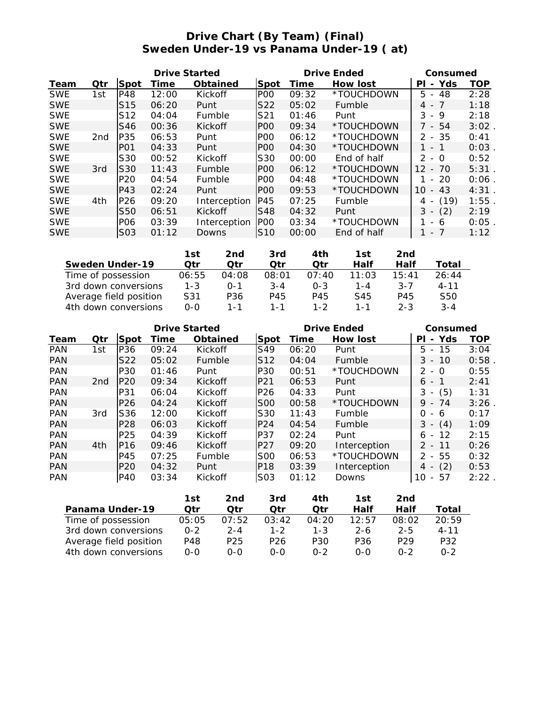# **Drive Chart (By Team) (Final) Sweden Under-19 vs Panama Under-19 ( at)**

| Drive Started |                 |                  |       |               |                  | Drive Ended | Consumed    |                                       |            |
|---------------|-----------------|------------------|-------|---------------|------------------|-------------|-------------|---------------------------------------|------------|
| Team          | Otr             | Spot             | Time  | Obtained      | Spot             | Time        | How lost    | Yds<br>PI<br>$\overline{\phantom{a}}$ | <b>TOP</b> |
| <b>SWE</b>    | 1st             | P48              | 12:00 | Kickoff       | P <sub>O</sub> O | 09:32       | *TOUCHDOWN  | 5.<br>48<br>$\sim$                    | 2:28       |
| <b>SWE</b>    |                 | S <sub>15</sub>  | 06:20 | Punt          | S22              | 05:02       | Fumble      | $4 - 7$                               | 1:18       |
| <b>SWE</b>    |                 | S <sub>12</sub>  | 04:04 | <b>Fumble</b> | S21              | 01:46       | Punt        | 3<br>9<br>$\overline{\phantom{0}}$    | 2:18       |
| <b>SWE</b>    |                 | S46              | 00:36 | Kickoff       | P <sub>O</sub> O | 09:34       | *TOUCHDOWN  | 7 - 54                                | 3:02       |
| <b>SWE</b>    | 2 <sub>nd</sub> | P35              | 06:53 | Punt          | P <sub>00</sub>  | 06:12       | *TOUCHDOWN  | $2 - 35$                              | 0:41       |
| <b>SWE</b>    |                 | P <sub>O</sub> 1 | 04:33 | Punt          | P <sub>O</sub> O | 04:30       | *TOUCHDOWN  | $\overline{\phantom{a}}$              | 0:03       |
| <b>SWE</b>    |                 | S30              | 00:52 | Kickoff       | S30              | 00:00       | End of half | 2<br>- 0                              | 0:52       |
| <b>SWE</b>    | 3rd             | S <sub>30</sub>  | 11:43 | Fumble        | P <sub>O</sub> O | 06:12       | *TOUCHDOWN  | 12<br>70<br>$\overline{\phantom{a}}$  | 5:31       |
| <b>SWE</b>    |                 | P <sub>20</sub>  | 04:54 | Fumble        | P <sub>O</sub> O | 04:48       | *TOUCHDOWN  | -20<br>$\equiv$                       | 0:06       |
| <b>SWE</b>    |                 | P43              | 02:24 | Punt          | POO              | 09:53       | *TOUCHDOWN  | 10<br>$-43$                           | 4:31       |
| <b>SWE</b>    | 4th             | P <sub>26</sub>  | 09:20 | Interception  | P45              | 07:25       | Fumble      | (19)<br>4<br>$\overline{\phantom{a}}$ | 1:55       |
| <b>SWE</b>    |                 | <b>S50</b>       | 06:51 | Kickoff       | S48              | 04:32       | Punt        | (2)<br>3<br>$\overline{\phantom{a}}$  | 2:19       |
| <b>SWE</b>    |                 | PO <sub>6</sub>  | 03:39 | Interception  | P <sub>00</sub>  | 03:34       | *TOUCHDOWN  | 6<br>$-$                              | 0:05       |
| <b>SWE</b>    |                 | S <sub>03</sub>  | 01:12 | Downs         | <b>S10</b>       | 00:00       | End of half | - 7<br>$\overline{\phantom{a}}$       | 1:12       |

|                        | 1st     | 2nd     | 3rd     | 4th     | 1st   | 2nd     |          |
|------------------------|---------|---------|---------|---------|-------|---------|----------|
| Sweden Under-19        | Otr     | Otr     | ∩tr     | ∩tr     | Half  | Half    | Total    |
| Time of possession     | 06:55   | 04:08   | 08:01   | 07:40   | 11:03 | 15:41   | 26:44    |
| 3rd down conversions   | $1 - 3$ | $0 - 1$ | $3 - 4$ | $O - 3$ | 1 - 4 | $3 - 7$ | $4 - 11$ |
| Average field position | S31     | P36     | P45     | P45     | S45   | P45     | S50      |
| 4th down conversions   | റ-റ     | 1 - 1   | 1 - 1   | 1-2     | 1 - 1 | $2 - 3$ | $3 - 4$  |

| <b>Drive Started</b> |                 |                 |       |          |                 |       | Drive Ended   | Consumed                              |            |  |
|----------------------|-----------------|-----------------|-------|----------|-----------------|-------|---------------|---------------------------------------|------------|--|
| Team                 | Otr             | Spot            | Time  | Obtained | Spot            | Time  | How lost      | Yds<br>PI<br>$\overline{\phantom{a}}$ | <b>TOP</b> |  |
| <b>PAN</b>           | 1st             | P36             | 09:24 | Kickoff  | S49             | 06:20 | Punt          | $5 - 15$                              | 3:04       |  |
| <b>PAN</b>           |                 | S22             | 05:02 | Fumble   | S <sub>12</sub> | 04:04 | <b>Fumble</b> | $3 - 10$                              | 0:58       |  |
| <b>PAN</b>           |                 | P30             | 01:46 | Punt     | P30             | 00:51 | *TOUCHDOWN    | $2 - 0$                               | 0:55       |  |
| <b>PAN</b>           | 2 <sub>nd</sub> | P <sub>20</sub> | 09:34 | Kickoff  | P <sub>21</sub> | 06:53 | Punt          | $6 -$                                 | 2:41       |  |
| <b>PAN</b>           |                 | P31             | 06:04 | Kickoff  | P <sub>26</sub> | 04:33 | Punt          | (5)<br>3<br>$\overline{\phantom{a}}$  | 1:31       |  |
| <b>PAN</b>           |                 | P <sub>26</sub> | 04:24 | Kickoff  | <b>S00</b>      | 00:58 | *TOUCHDOWN    | $9 -$<br>74                           | 3:26       |  |
| <b>PAN</b>           | 3rd             | S36             | 12:00 | Kickoff  | S30             | 11:43 | Fumble        | 0<br>- 6                              | 0:17       |  |
| <b>PAN</b>           |                 | P <sub>28</sub> | 06:03 | Kickoff  | P <sub>24</sub> | 04:54 | Fumble        | 3<br>(4)<br>$-$                       | 1:09       |  |
| <b>PAN</b>           |                 | P <sub>25</sub> | 04:39 | Kickoff  | P37             | 02:24 | Punt          | 12<br>6<br>$\overline{\phantom{a}}$   | 2:15       |  |
| <b>PAN</b>           | 4th             | P <sub>16</sub> | 09:46 | Kickoff  | P27             | 09:20 | Interception  | $2 - 11$                              | 0:26       |  |
| <b>PAN</b>           |                 | P45             | 07:25 | Fumble   | <b>S00</b>      | 06:53 | *TOUCHDOWN    | $2 - 55$                              | 0:32       |  |
| <b>PAN</b>           |                 | P <sub>20</sub> | 04:32 | Punt     | IP18            | 03:39 | Interception  | (2)<br>4 -                            | 0:53       |  |
| <b>PAN</b>           |                 | <b>P40</b>      | 03:34 | Kickoff  | S03             | 01:12 | Downs         | -57<br>10<br>$\overline{\phantom{a}}$ | 2:22       |  |

|                        | 1st     | 2nd     | 3rd     | 4th     | 1st     | 2nd             |          |
|------------------------|---------|---------|---------|---------|---------|-----------------|----------|
| Panama Under-19        | ∩tr     | ∩tr     | ่ ว†r   | ∩tr     | Half    | Half            | Total    |
| Time of possession     | 05:05   | 07:52   | 03:42   | 04:20   | 12:57   | 08:02           | 20:59    |
| 3rd down conversions   | $0 - 2$ | $2 - 4$ | $1 - 2$ | $1 - 3$ | $2 - 6$ | $2 - 5$         | $4 - 11$ |
| Average field position | P48     | P25     | P26     | P30     | P36     | P <sub>29</sub> | P32      |
| 4th down conversions   | 0-0     | റ-റ     | റ-റ     | $0 - 2$ | 0-0     | $0 - 2$         | በ-2      |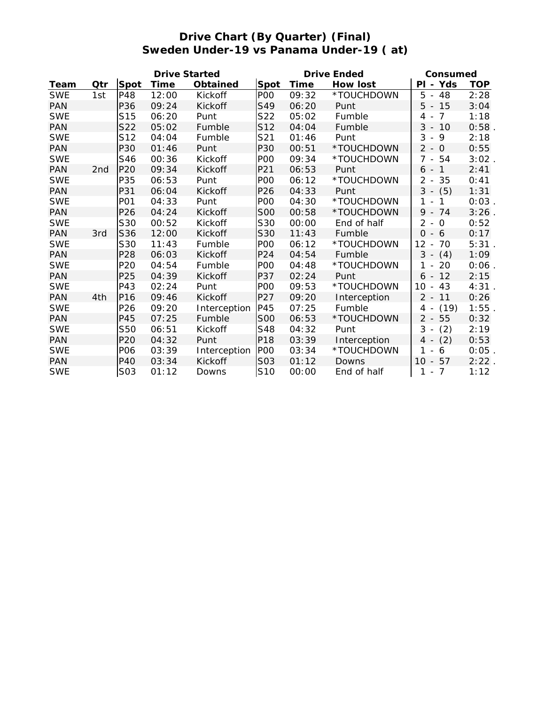# **Drive Chart (By Quarter) (Final) Sweden Under-19 vs Panama Under-19 ( at)**

|            |                 |                 | <b>Drive Started</b> |              |                  | Drive Ended | Consumed     |                                                 |            |
|------------|-----------------|-----------------|----------------------|--------------|------------------|-------------|--------------|-------------------------------------------------|------------|
| Team       | Qtr             | Spot            | Time                 | Obtained     | Spot             | Time        | How lost     | PI - Yds                                        | <b>TOP</b> |
| <b>SWE</b> | 1st             | P48             | 12:00                | Kickoff      | P <sub>O</sub>   | 09:32       | *TOUCHDOWN   | 5<br>48<br>$\sim$                               | 2:28       |
| <b>PAN</b> |                 | P36             | 09:24                | Kickoff      | S49              | 06:20       | Punt         | $5 - 15$                                        | 3:04       |
| <b>SWE</b> |                 | S <sub>15</sub> | 06:20                | Punt         | S22              | 05:02       | Fumble       | $\overline{7}$<br>4<br>$\overline{\phantom{a}}$ | 1:18       |
| <b>PAN</b> |                 | S22             | 05:02                | Fumble       | S12              | 04:04       | Fumble       | 3<br>10<br>$\overline{\phantom{a}}$             | 0:58       |
| <b>SWE</b> |                 | S12             | 04:04                | Fumble       | S21              | 01:46       | Punt         | 3<br>$-9$                                       | 2:18       |
| <b>PAN</b> |                 | <b>P30</b>      | 01:46                | Punt         | P30              | 00:51       | *TOUCHDOWN   | $2 - 0$                                         | 0:55       |
| <b>SWE</b> |                 | S46             | 00:36                | Kickoff      | P <sub>O</sub> O | 09:34       | *TOUCHDOWN   | $7 - 54$                                        | 3:02       |
| <b>PAN</b> | 2 <sub>nd</sub> | P <sub>20</sub> | 09:34                | Kickoff      | P21              | 06:53       | Punt         | $6 - 1$                                         | 2:41       |
| <b>SWE</b> |                 | P35             | 06:53                | Punt         | P <sub>O</sub>   | 06:12       | *TOUCHDOWN   | 2<br>- 35                                       | 0:41       |
| <b>PAN</b> |                 | P31             | 06:04                | Kickoff      | P26              | 04:33       | Punt         | $3 - (5)$                                       | 1:31       |
| <b>SWE</b> |                 | <b>PO1</b>      | 04:33                | Punt         | P <sub>O</sub>   | 04:30       | *TOUCHDOWN   | 1<br>1<br>$\overline{\phantom{a}}$              | 0:03       |
| <b>PAN</b> |                 | P26             | 04:24                | Kickoff      | <b>S00</b>       | 00:58       | *TOUCHDOWN   | 9<br>74<br>$\sim$                               | 3:26       |
| <b>SWE</b> |                 | S30             | 00:52                | Kickoff      | S30              | 00:00       | End of half  | $2 - 0$                                         | 0:52       |
| <b>PAN</b> | 3rd             | S36             | 12:00                | Kickoff      | S30              | 11:43       | Fumble       | $0 - 6$                                         | 0:17       |
| <b>SWE</b> |                 | S30             | 11:43                | Fumble       | P <sub>O</sub> O | 06:12       | *TOUCHDOWN   | 12<br>70<br>$\overline{\phantom{a}}$            | 5:31       |
| <b>PAN</b> |                 | P <sub>28</sub> | 06:03                | Kickoff      | P <sub>24</sub>  | 04:54       | Fumble       | 3<br>(4)<br>$\overline{\phantom{a}}$            | 1:09       |
| <b>SWE</b> |                 | P <sub>20</sub> | 04:54                | Fumble       | PO <sub>O</sub>  | 04:48       | *TOUCHDOWN   | $1 -$<br>20                                     | 0:06       |
| <b>PAN</b> |                 | P25             | 04:39                | Kickoff      | P37              | 02:24       | Punt         | 12<br>$6 -$                                     | 2:15       |
| <b>SWE</b> |                 | P43             | 02:24                | Punt         | PO <sub>O</sub>  | 09:53       | *TOUCHDOWN   | $10 - 43$                                       | 4:31       |
| <b>PAN</b> | 4th             | P <sub>16</sub> | 09:46                | Kickoff      | P27              | 09:20       | Interception | $2 - 11$                                        | 0:26       |
| <b>SWE</b> |                 | P26             | 09:20                | Interception | P45              | 07:25       | Fumble       | 4 -<br>(19)                                     | 1:55       |
| <b>PAN</b> |                 | P45             | 07:25                | Fumble       | <b>S00</b>       | 06:53       | *TOUCHDOWN   | $2 - 55$                                        | 0:32       |
| <b>SWE</b> |                 | <b>S50</b>      | 06:51                | Kickoff      | S48              | 04:32       | Punt         | 3<br>(2)<br>$\overline{\phantom{a}}$            | 2:19       |
| <b>PAN</b> |                 | P <sub>20</sub> | 04:32                | Punt         | P18              | 03:39       | Interception | $4 - (2)$                                       | 0:53       |
| <b>SWE</b> |                 | P <sub>06</sub> | 03:39                | Interception | P <sub>O</sub> O | 03:34       | *TOUCHDOWN   | 1<br>6<br>$\overline{\phantom{a}}$              | 0:05       |
| <b>PAN</b> |                 | <b>P40</b>      | 03:34                | Kickoff      | S03              | 01:12       | Downs        | $10 - 57$                                       | 2:22       |
| <b>SWE</b> |                 | S03             | 01:12                | Downs        | S10              | 00:00       | End of half  | $1 - 7$                                         | 1:12       |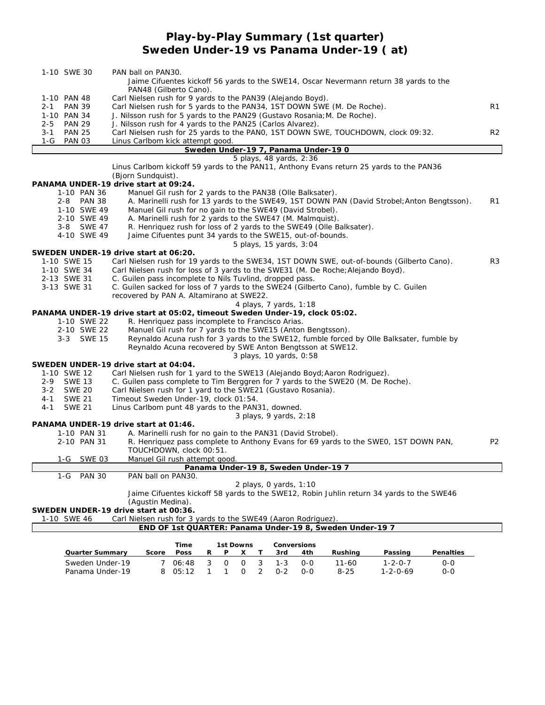# **Play-by-Play Summary (1st quarter) Sweden Under-19 vs Panama Under-19 ( at)**

| 1-10 SWE 30                  | PAN ball on PAN30.<br>Jaime Cifuentes kickoff 56 yards to the SWE14, Oscar Nevermann return 38 yards to the                                                                   |                |
|------------------------------|-------------------------------------------------------------------------------------------------------------------------------------------------------------------------------|----------------|
|                              | PAN48 (Gilberto Cano).                                                                                                                                                        |                |
| 1-10 PAN 48                  | Carl Nielsen rush for 9 yards to the PAN39 (Alejando Boyd).                                                                                                                   |                |
| <b>PAN 39</b><br>$2 - 1$     | Carl Nielsen rush for 5 yards to the PAN34, 1ST DOWN SWE (M. De Roche).                                                                                                       | R1             |
| 1-10 PAN 34<br>2-5<br>PAN 29 | J. Nilsson rush for 5 yards to the PAN29 (Gustavo Rosania; M. De Roche).<br>J. Nilsson rush for 4 yards to the PAN25 (Carlos Alvarez).                                        |                |
| 3-1 PAN 25                   | Carl Nielsen rush for 25 yards to the PANO, 1ST DOWN SWE, TOUCHDOWN, clock 09:32.                                                                                             | R <sub>2</sub> |
| 1-G<br><b>PAN 03</b>         | Linus Carlbom kick attempt good.                                                                                                                                              |                |
|                              | Sweden Under-19 7, Panama Under-19 0                                                                                                                                          |                |
|                              | 5 plays, 48 yards, 2:36                                                                                                                                                       |                |
|                              | Linus Carlbom kickoff 59 yards to the PAN11, Anthony Evans return 25 yards to the PAN36                                                                                       |                |
|                              | (Bjorn Sundquist).<br>PANAMA UNDER-19 drive start at 09:24.                                                                                                                   |                |
| 1-10 PAN 36                  | Manuel Gil rush for 2 yards to the PAN38 (Olle Balksater).                                                                                                                    |                |
| <b>PAN 38</b><br>$2 - 8$     | A. Marinelli rush for 13 yards to the SWE49, 1ST DOWN PAN (David Strobel; Anton Bengtsson).                                                                                   | R <sub>1</sub> |
| 1-10 SWE 49                  | Manuel Gil rush for no gain to the SWE49 (David Strobel).                                                                                                                     |                |
| 2-10 SWE 49                  | A. Marinelli rush for 2 yards to the SWE47 (M. Malmquist).                                                                                                                    |                |
| 3-8 SWE 47                   | R. Henriquez rush for loss of 2 yards to the SWE49 (Olle Balksater).                                                                                                          |                |
| 4-10 SWE 49                  | Jaime Cifuentes punt 34 yards to the SWE15, out-of-bounds.                                                                                                                    |                |
|                              | 5 plays, 15 yards, 3:04                                                                                                                                                       |                |
| 1-10 SWE 15                  | SWEDEN UNDER-19 drive start at 06:20.                                                                                                                                         | R <sub>3</sub> |
| 1-10 SWE 34                  | Carl Nielsen rush for 19 yards to the SWE34, 1ST DOWN SWE, out-of-bounds (Gilberto Cano).<br>Carl Nielsen rush for loss of 3 yards to the SWE31 (M. De Roche; Alejando Boyd). |                |
| 2-13 SWE 31                  | C. Guilen pass incomplete to Nils Tuvlind, dropped pass.                                                                                                                      |                |
| 3-13 SWE 31                  | C. Guilen sacked for loss of 7 yards to the SWE24 (Gilberto Cano), fumble by C. Guilen                                                                                        |                |
|                              | recovered by PAN A. Altamirano at SWE22.                                                                                                                                      |                |
|                              | 4 plays, 7 yards, 1:18                                                                                                                                                        |                |
|                              | PANAMA UNDER-19 drive start at 05:02, timeout Sweden Under-19, clock 05:02.                                                                                                   |                |
| 1-10 SWE 22                  | R. Henriquez pass incomplete to Francisco Arias.                                                                                                                              |                |
| 2-10 SWE 22                  | Manuel Gil rush for 7 yards to the SWE15 (Anton Bengtsson).                                                                                                                   |                |
| 3-3 SWE 15                   | Reynaldo Acuna rush for 3 yards to the SWE12, fumble forced by Olle Balksater, fumble by<br>Reynaldo Acuna recovered by SWE Anton Bengtsson at SWE12.                         |                |
|                              | 3 plays, 10 yards, 0:58                                                                                                                                                       |                |
|                              | SWEDEN UNDER-19 drive start at 04:04.                                                                                                                                         |                |
| 1-10 SWE 12                  | Carl Nielsen rush for 1 yard to the SWE13 (Alejando Boyd; Aaron Rodriguez).                                                                                                   |                |
| <b>SWE 13</b><br>2-9         | C. Guilen pass complete to Tim Berggren for 7 yards to the SWE20 (M. De Roche).                                                                                               |                |
| <b>SWE 20</b><br>$3 - 2$     | Carl Nielsen rush for 1 yard to the SWE21 (Gustavo Rosania).                                                                                                                  |                |
| $4 - 1$<br><b>SWE 21</b>     | Timeout Sweden Under-19, clock 01:54.                                                                                                                                         |                |
| <b>SWE 21</b><br>4 - 1       | Linus Carlbom punt 48 yards to the PAN31, downed.                                                                                                                             |                |
|                              | 3 plays, 9 yards, 2:18<br>PANAMA UNDER-19 drive start at 01:46.                                                                                                               |                |
| 1-10 PAN 31                  | A. Marinelli rush for no gain to the PAN31 (David Strobel).                                                                                                                   |                |
| 2-10 PAN 31                  | R. Henriquez pass complete to Anthony Evans for 69 yards to the SWE0, 1ST DOWN PAN,                                                                                           | P <sub>2</sub> |
|                              | TOUCHDOWN, clock 00:51.                                                                                                                                                       |                |
| 1-G SWE 03                   | Manuel Gil rush attempt good.                                                                                                                                                 |                |
|                              | Panama Under-19 8, Sweden Under-19 7                                                                                                                                          |                |
| <b>PAN 30</b><br>1-G         | PAN ball on PAN30.                                                                                                                                                            |                |
|                              | 2 plays, 0 yards, 1:10<br>Jaime Cifuentes kickoff 58 yards to the SWE12, Robin Juhlin return 34 yards to the SWE46                                                            |                |
|                              | (Aqustin Medina).                                                                                                                                                             |                |
|                              | SWEDEN UNDER-19 drive start at 00:36.                                                                                                                                         |                |
| 1-10 SWE 46                  | Carl Nielsen rush for 3 yards to the SWE49 (Aaron Rodriguez)                                                                                                                  |                |
|                              | END OF 1st QUARTER: Panama Under-19 8, Sweden Under-19 7                                                                                                                      |                |
|                              |                                                                                                                                                                               |                |
| Quarter Summary              | Time<br>1st Downs<br>Conversions<br>Score<br>Rushing<br>Passing<br>Penalties<br><b>Poss</b><br>4th<br>R<br>P<br>X<br>3rd                                                      |                |
| Sweden Under-19              | 3<br>$1 - 3$<br>$\overline{7}$<br>3<br>$\mathbf 0$<br>$\mathsf{O}$<br>$11 - 60$<br>$1 - 2 - 0 - 7$<br>06:48<br>$0 - 0$<br>$0-0$                                               |                |

Panama Under-19 8 05:12 1 1 0 2 0-2 0-0 8-25 1-2-0-69 0-0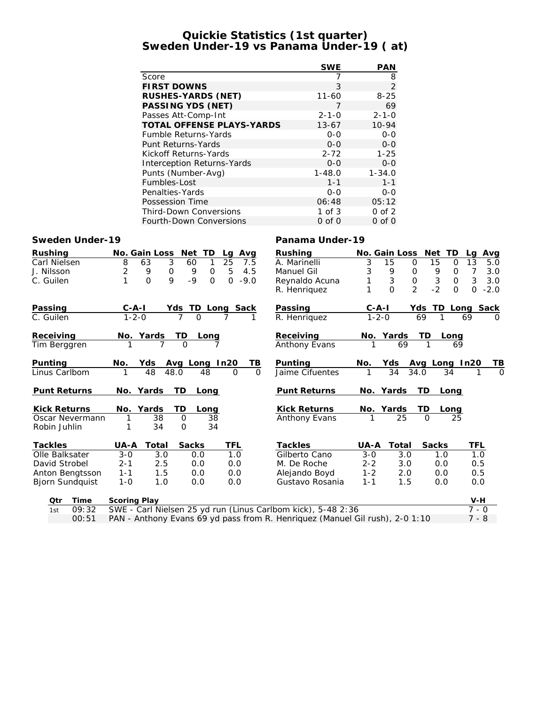## **Quickie Statistics (1st quarter) Sweden Under-19 vs Panama Under-19 ( at)**

|                         |                                                                              | <b>SWE</b>           | <b>PAN</b>               |                                    |                    |
|-------------------------|------------------------------------------------------------------------------|----------------------|--------------------------|------------------------------------|--------------------|
|                         | Score                                                                        | $\overline{7}$       | 8                        |                                    |                    |
|                         | <b>FIRST DOWNS</b>                                                           | 3                    | $\overline{2}$           |                                    |                    |
|                         | RUSHES-YARDS (NET)                                                           | $11 - 60$            | $8 - 25$                 |                                    |                    |
|                         | PASSING YDS (NET)                                                            | 7                    | 69                       |                                    |                    |
|                         | Passes Att-Comp-Int                                                          | $2 - 1 - 0$          | $2 - 1 - 0$              |                                    |                    |
|                         | TOTAL OFFENSE PLAYS-YARDS                                                    | $13 - 67$            | 10-94                    |                                    |                    |
|                         | Fumble Returns-Yards                                                         | $0 - 0$              | $O-O$                    |                                    |                    |
|                         | Punt Returns-Yards                                                           | $0 - 0$              | $0-0$                    |                                    |                    |
|                         | Kickoff Returns-Yards                                                        | $2 - 72$             | $1 - 25$                 |                                    |                    |
|                         | Interception Returns-Yards                                                   | $0 - 0$              | $0-0$                    |                                    |                    |
|                         | Punts (Number-Avg)                                                           | $1 - 48.0$           | $1 - 34.0$               |                                    |                    |
|                         | Fumbles-Lost                                                                 | $1 - 1$              | $1 - 1$                  |                                    |                    |
|                         | Penalties-Yards                                                              | $O-O$<br>06:48       | $O-O$<br>05:12           |                                    |                    |
|                         | Possession Time<br><b>Third-Down Conversions</b>                             | $1$ of $3$           | $0$ of $2$               |                                    |                    |
|                         | Fourth-Down Conversions                                                      | $0$ of $0$           | $0$ of $0$               |                                    |                    |
|                         |                                                                              |                      |                          |                                    |                    |
| Sweden Under-19         |                                                                              | Panama Under-19      |                          |                                    |                    |
| Rushing                 | No. Gain Loss Net TD<br>Lg Avg                                               | Rushing              |                          | No. Gain Loss Net TD               | Lg Avg             |
| Carl Nielsen            | 8<br>25<br>3<br>60<br>1<br>63<br>7.5                                         | A. Marinelli         | 3<br>15                  | 0<br>15<br>0                       | 13<br>5.0          |
| J. Nilsson              | $\overline{2}$<br>5<br>0<br>9<br>0<br>4.5<br>9                               | Manuel Gil           | $\mathfrak{Z}$<br>9      | 0<br>9<br>0                        | 7<br>3.0           |
| C. Guilen               | $\Omega$<br>9<br>$-9$<br>$0 - 9.0$<br>1<br>$\Omega$                          | Reynaldo Acuna       | 3<br>1                   | 0<br>$\sqrt{3}$<br>$\mathsf O$     | 3<br>3.0           |
|                         |                                                                              | R. Henriquez         | 1<br>$\Omega$            | $\overline{2}$<br>$-2$<br>$\Omega$ | $\Omega$<br>$-2.0$ |
| Passing                 | <u>C-A-I</u>                                                                 | Passing              |                          | Yds TD Long Sack                   |                    |
| $\overline{C}$ . Guilen | $\frac{Yds}{}$ TD Long Sack<br>$1 - 2 - 0$                                   | R. Henriquez         | $\frac{1}{1-2-0}$        | 69                                 | 69                 |
| Receiving               |                                                                              | Receiving            |                          |                                    |                    |
| Tim Berggren            | <u>No. Yards</u><br><u>TD</u><br><u>Long</u>                                 | <b>Anthony Evans</b> | No. Yards<br>1 69        | <u>TD</u><br><u>Long</u>           |                    |
|                         |                                                                              |                      |                          |                                    |                    |
| <u>Punting</u>          | Avg Long In20<br><u>No.</u><br><u>Yds - </u><br>TB.                          | Punting              | <u>Yds</u><br><u>No.</u> | Avg Long In20<br>34.0 34 1         | TВ                 |
| Linus Carlbom           | 48<br>48.0<br>48<br>$\Omega$<br>$\Omega$                                     | Jaime Cifuentes      | $\overline{34}$          |                                    |                    |
| <b>Punt Returns</b>     | <b>TD</b><br>No. Yards<br>Long                                               | Punt Returns         | <u>No. Yards</u>         | TD.<br>Long                        |                    |
|                         |                                                                              |                      |                          |                                    |                    |
| Kick Returns            | Yards<br>TD<br>No.<br>Long                                                   | Kick Returns         | No. Yards                | TD<br>Long                         |                    |
| Oscar Nevermann         | 1<br>38<br>$\Omega$<br>38                                                    | <b>Anthony Evans</b> | $\overline{25}$          | $\Omega$<br>25                     |                    |
| Robin Juhlin            | 1<br>34<br>$\Omega$<br>34                                                    |                      |                          |                                    |                    |
| Tackles                 | UA-A<br>Total<br>Sacks<br>TFL                                                | Tackles              | UA-A Total               | Sacks                              | TFL                |
| Olle Balksater          | $3 - 0$<br>$\overline{3.0}$<br>0.0<br>1.0                                    | Gilberto Cano        | $3-0$<br>3.0             | 1.0                                | 1.0                |
| David Strobel           | $2 - 1$<br>2.5<br>0.0<br>0.0                                                 | M. De Roche          | $2 - 2$<br>3.0           | 0.0                                | 0.5                |
| Anton Bengtsson         | $1 - 1$<br>1.5<br>0.0<br>0.0                                                 | Alejando Boyd        | $1 - 2$<br>2.0           | 0.0                                | 0.5                |
| <b>Bjorn Sundquist</b>  | $1 - 0$<br>1.0<br>0.0<br>0.0                                                 | Gustavo Rosania      | $1 - 1$<br>1.5           | 0.0                                | 0.0                |
| Time<br>Qtr             | Scoring Play                                                                 |                      |                          |                                    | V-H                |
| 09:32<br>1st            | SWE - Carl Nielsen 25 yd run (Linus Carlbom kick), 5-48 2:36                 |                      |                          |                                    | $7 - 0$            |
| 00:51                   | PAN - Anthony Evans 69 yd pass from R. Henriquez (Manuel Gil rush), 2-0 1:10 |                      |                          |                                    | 7 - 8              |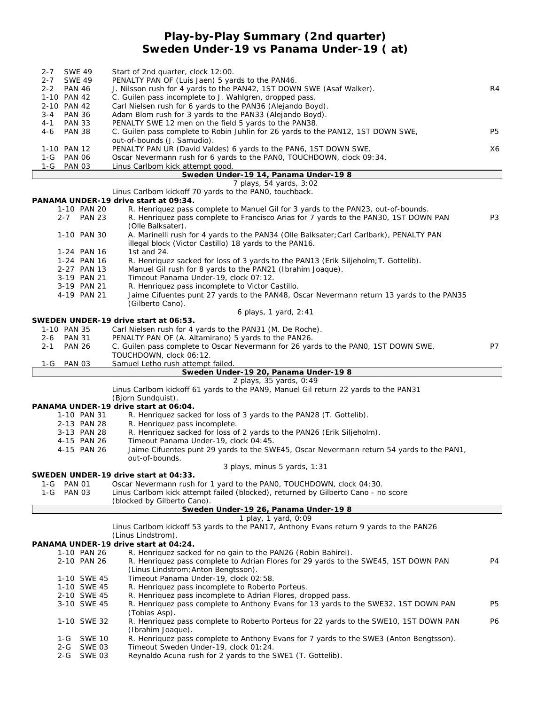## **Play-by-Play Summary (2nd quarter) Sweden Under-19 vs Panama Under-19 ( at)**

| <b>SWE 49</b><br>$2 - 7$                         | Start of 2nd quarter, clock 12:00.                                                                                                                   |                |
|--------------------------------------------------|------------------------------------------------------------------------------------------------------------------------------------------------------|----------------|
| <b>SWE 49</b><br>2-7                             | PENALTY PAN OF (Luis Jaen) 5 yards to the PAN46.                                                                                                     |                |
| $2 - 2$<br><b>PAN 46</b>                         | J. Nilsson rush for 4 yards to the PAN42, 1ST DOWN SWE (Asaf Walker).                                                                                | R4             |
| 1-10 PAN 42<br>2-10 PAN 42                       | C. Guilen pass incomplete to J. Wahlgren, dropped pass.<br>Carl Nielsen rush for 6 yards to the PAN36 (Alejando Boyd).                               |                |
| <b>PAN 36</b><br>$3 - 4$                         | Adam Blom rush for 3 yards to the PAN33 (Alejando Boyd).                                                                                             |                |
| <b>PAN 33</b><br>4-1                             | PENALTY SWE 12 men on the field 5 yards to the PAN38.                                                                                                |                |
| <b>PAN 38</b><br>4-6                             | C. Guilen pass complete to Robin Juhlin for 26 yards to the PAN12, 1ST DOWN SWE,                                                                     | P <sub>5</sub> |
| 1-10 PAN 12                                      | out-of-bounds (J. Samudio).<br>PENALTY PAN UR (David Valdes) 6 yards to the PAN6, 1ST DOWN SWE.                                                      | X6             |
| <b>PAN 06</b><br>1-G                             | Oscar Nevermann rush for 6 yards to the PANO, TOUCHDOWN, clock 09:34.                                                                                |                |
| 1-G<br><b>PAN 03</b>                             | Linus Carlbom kick attempt good.                                                                                                                     |                |
|                                                  | Sweden Under-19 14, Panama Under-19 8                                                                                                                |                |
|                                                  | 7 plays, 54 yards, 3:02                                                                                                                              |                |
|                                                  | Linus Carlbom kickoff 70 yards to the PANO, touchback.<br>PANAMA UNDER-19 drive start at 09:34.                                                      |                |
| 1-10 PAN 20                                      | R. Henriquez pass complete to Manuel Gil for 3 yards to the PAN23, out-of-bounds.                                                                    |                |
| 2-7 PAN 23                                       | R. Henriquez pass complete to Francisco Arias for 7 yards to the PAN30, 1ST DOWN PAN                                                                 | P <sub>3</sub> |
|                                                  | (Olle Balksater).                                                                                                                                    |                |
| 1-10 PAN 30                                      | A. Marinelli rush for 4 yards to the PAN34 (Olle Balksater; Carl Carlbark), PENALTY PAN<br>illegal block (Victor Castillo) 18 yards to the PAN16.    |                |
| 1-24 PAN 16                                      | 1st and 24.                                                                                                                                          |                |
| 1-24 PAN 16                                      | R. Henriquez sacked for loss of 3 yards to the PAN13 (Erik Siljeholm; T. Gottelib).                                                                  |                |
| 2-27 PAN 13                                      | Manuel Gil rush for 8 yards to the PAN21 (Ibrahim Joaque).                                                                                           |                |
| 3-19 PAN 21                                      | Timeout Panama Under-19, clock 07:12.                                                                                                                |                |
| 3-19 PAN 21<br>4-19 PAN 21                       | R. Henriquez pass incomplete to Victor Castillo.<br>Jaime Cifuentes punt 27 yards to the PAN48, Oscar Nevermann return 13 yards to the PAN35         |                |
|                                                  | (Gilberto Cano).                                                                                                                                     |                |
|                                                  | 6 plays, 1 yard, 2:41                                                                                                                                |                |
|                                                  | SWEDEN UNDER-19 drive start at 06:53.                                                                                                                |                |
| 1-10 PAN 35                                      | Carl Nielsen rush for 4 yards to the PAN31 (M. De Roche).                                                                                            |                |
| <b>PAN 31</b><br>2-6<br><b>PAN 26</b><br>$2 - 1$ | PENALTY PAN OF (A. Altamirano) 5 yards to the PAN26.                                                                                                 | P7             |
|                                                  | C. Guilen pass complete to Oscar Nevermann for 26 yards to the PANO, 1ST DOWN SWE,<br>TOUCHDOWN, clock 06:12.                                        |                |
| <b>PAN 03</b><br>1-G                             | Samuel Letho rush attempt failed.                                                                                                                    |                |
|                                                  |                                                                                                                                                      |                |
|                                                  | Sweden Under-19 20, Panama Under-19 8                                                                                                                |                |
|                                                  | 2 plays, 35 yards, 0:49                                                                                                                              |                |
|                                                  | Linus Carlbom kickoff 61 yards to the PAN9, Manuel Gil return 22 yards to the PAN31                                                                  |                |
|                                                  | (Bjorn Sundquist).                                                                                                                                   |                |
| 1-10 PAN 31                                      | PANAMA UNDER-19 drive start at 06:04.<br>R. Henriquez sacked for loss of 3 yards to the PAN28 (T. Gottelib).                                         |                |
| 2-13 PAN 28                                      | R. Henriquez pass incomplete.                                                                                                                        |                |
| 3-13 PAN 28                                      | R. Henriquez sacked for loss of 2 yards to the PAN26 (Erik Siljeholm).                                                                               |                |
| 4-15 PAN 26                                      | Timeout Panama Under-19, clock 04:45.                                                                                                                |                |
| 4-15 PAN 26                                      | Jaime Cifuentes punt 29 yards to the SWE45, Oscar Nevermann return 54 yards to the PAN1,                                                             |                |
|                                                  | out-of-bounds.<br>3 plays, minus 5 yards, 1:31                                                                                                       |                |
|                                                  | SWEDEN UNDER-19 drive start at 04:33.                                                                                                                |                |
| <b>PAN 01</b><br>1-G                             | Oscar Nevermann rush for 1 yard to the PANO, TOUCHDOWN, clock 04:30.                                                                                 |                |
| 1-G PAN 03                                       | Linus Carlbom kick attempt failed (blocked), returned by Gilberto Cano - no score                                                                    |                |
|                                                  | (blocked by Gilberto Cano).                                                                                                                          |                |
|                                                  | Sweden Under-19 26, Panama Under-19 8<br>1 play, 1 yard, 0:09                                                                                        |                |
|                                                  | Linus Carlbom kickoff 53 yards to the PAN17, Anthony Evans return 9 yards to the PAN26                                                               |                |
|                                                  | (Linus Lindstrom).                                                                                                                                   |                |
|                                                  | PANAMA UNDER-19 drive start at 04:24.                                                                                                                |                |
| 1-10 PAN 26<br>2-10 PAN 26                       | R. Henriquez sacked for no gain to the PAN26 (Robin Bahirei).<br>R. Henriquez pass complete to Adrian Flores for 29 yards to the SWE45, 1ST DOWN PAN | P4             |
|                                                  | (Linus Lindstrom; Anton Bengtsson).                                                                                                                  |                |
| 1-10 SWE 45                                      | Timeout Panama Under-19, clock 02:58.                                                                                                                |                |
| 1-10 SWE 45                                      | R. Henriquez pass incomplete to Roberto Porteus.                                                                                                     |                |
| 2-10 SWE 45                                      | R. Henriquez pass incomplete to Adrian Flores, dropped pass.                                                                                         |                |
| 3-10 SWE 45                                      | R. Henriquez pass complete to Anthony Evans for 13 yards to the SWE32, 1ST DOWN PAN<br>(Tobias Asp).                                                 | P5             |
| 1-10 SWE 32                                      | R. Henriquez pass complete to Roberto Porteus for 22 yards to the SWE10, 1ST DOWN PAN<br>(Ibrahim Joaque).                                           | P6             |
| <b>SWE 10</b><br>1-G                             | R. Henriquez pass complete to Anthony Evans for 7 yards to the SWE3 (Anton Bengtsson).                                                               |                |
| SWE 03<br>2-G<br>$2 - G$<br>SWE 03               | Timeout Sweden Under-19, clock 01:24.<br>Reynaldo Acuna rush for 2 yards to the SWE1 (T. Gottelib).                                                  |                |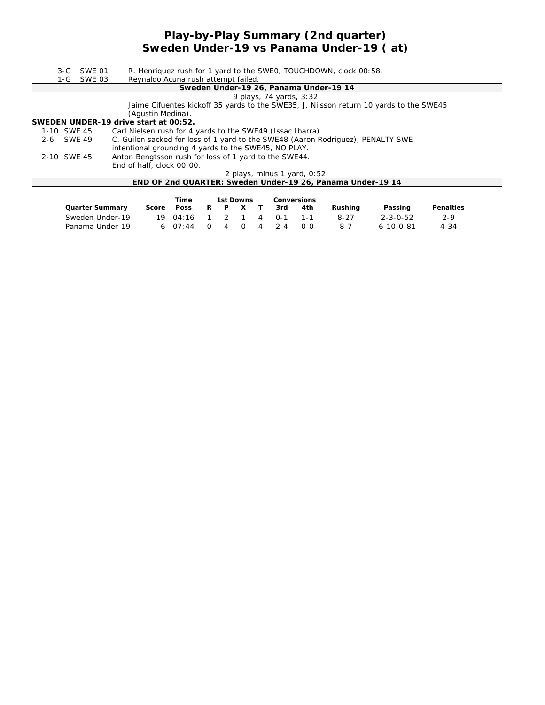## **Play-by-Play Summary (2nd quarter) Sweden Under-19 vs Panama Under-19 ( at)**

| Reynaldo Acuna rush attempt failed.<br>1-G SWE 03<br>Sweden Under-19 26, Panama Under-19 14<br>9 plays, 74 yards, 3:32<br>Jaime Cifuentes kickoff 35 yards to the SWE35, J. Nilsson return 10 yards to the SWE45<br>(Aqustin Medina).<br>SWEDEN UNDER-19 drive start at 00:52.<br>Carl Nielsen rush for 4 yards to the SWE49 (Issac Ibarra).<br>1-10 SWE 45<br>C. Guilen sacked for loss of 1 yard to the SWE48 (Aaron Rodriguez), PENALTY SWE<br>2-6 SWE 49<br>intentional grounding 4 yards to the SWE45, NO PLAY.<br>Anton Bengtsson rush for loss of 1 yard to the SWE44.<br>2-10 SWE 45<br>End of half, clock 00:00.<br>2 plays, minus 1 yard, 0:52 | $3-G$ | SWE 01 | R. Henriquez rush for 1 yard to the SWEO, TOUCHDOWN, clock 00:58. |  |  |  |  |  |  |  |  |  |  |
|----------------------------------------------------------------------------------------------------------------------------------------------------------------------------------------------------------------------------------------------------------------------------------------------------------------------------------------------------------------------------------------------------------------------------------------------------------------------------------------------------------------------------------------------------------------------------------------------------------------------------------------------------------|-------|--------|-------------------------------------------------------------------|--|--|--|--|--|--|--|--|--|--|
|                                                                                                                                                                                                                                                                                                                                                                                                                                                                                                                                                                                                                                                          |       |        |                                                                   |  |  |  |  |  |  |  |  |  |  |
|                                                                                                                                                                                                                                                                                                                                                                                                                                                                                                                                                                                                                                                          |       |        |                                                                   |  |  |  |  |  |  |  |  |  |  |
|                                                                                                                                                                                                                                                                                                                                                                                                                                                                                                                                                                                                                                                          |       |        |                                                                   |  |  |  |  |  |  |  |  |  |  |
|                                                                                                                                                                                                                                                                                                                                                                                                                                                                                                                                                                                                                                                          |       |        |                                                                   |  |  |  |  |  |  |  |  |  |  |
|                                                                                                                                                                                                                                                                                                                                                                                                                                                                                                                                                                                                                                                          |       |        |                                                                   |  |  |  |  |  |  |  |  |  |  |
|                                                                                                                                                                                                                                                                                                                                                                                                                                                                                                                                                                                                                                                          |       |        |                                                                   |  |  |  |  |  |  |  |  |  |  |
|                                                                                                                                                                                                                                                                                                                                                                                                                                                                                                                                                                                                                                                          |       |        |                                                                   |  |  |  |  |  |  |  |  |  |  |
|                                                                                                                                                                                                                                                                                                                                                                                                                                                                                                                                                                                                                                                          |       |        |                                                                   |  |  |  |  |  |  |  |  |  |  |
|                                                                                                                                                                                                                                                                                                                                                                                                                                                                                                                                                                                                                                                          |       |        |                                                                   |  |  |  |  |  |  |  |  |  |  |
|                                                                                                                                                                                                                                                                                                                                                                                                                                                                                                                                                                                                                                                          |       |        |                                                                   |  |  |  |  |  |  |  |  |  |  |
|                                                                                                                                                                                                                                                                                                                                                                                                                                                                                                                                                                                                                                                          |       |        |                                                                   |  |  |  |  |  |  |  |  |  |  |
|                                                                                                                                                                                                                                                                                                                                                                                                                                                                                                                                                                                                                                                          |       |        |                                                                   |  |  |  |  |  |  |  |  |  |  |
|                                                                                                                                                                                                                                                                                                                                                                                                                                                                                                                                                                                                                                                          |       |        | END OF 2nd QUARTER: Sweden Under-19 26, Panama Under-19 14        |  |  |  |  |  |  |  |  |  |  |

|                 |       | Time      |    | 1st Downs |  |   | Conversions |     |         |                   |           |
|-----------------|-------|-----------|----|-----------|--|---|-------------|-----|---------|-------------------|-----------|
| Quarter Summarv | Score | Poss      | P. |           |  |   | 3rd         | 4th | Rushina | Passing           | Penalties |
| Sweden Under-19 | 19.   | 04.16     |    |           |  | 4 | $0 - 1$     |     | 8-27    | $2 - 3 - 0 - 52$  | $2-9$     |
| Panama Under-19 |       | 6 $07:44$ |    | 4         |  | 4 | $2 - 4$     | റ-റ | $8 - 7$ | $6 - 10 - 0 - 81$ | $4 - 34$  |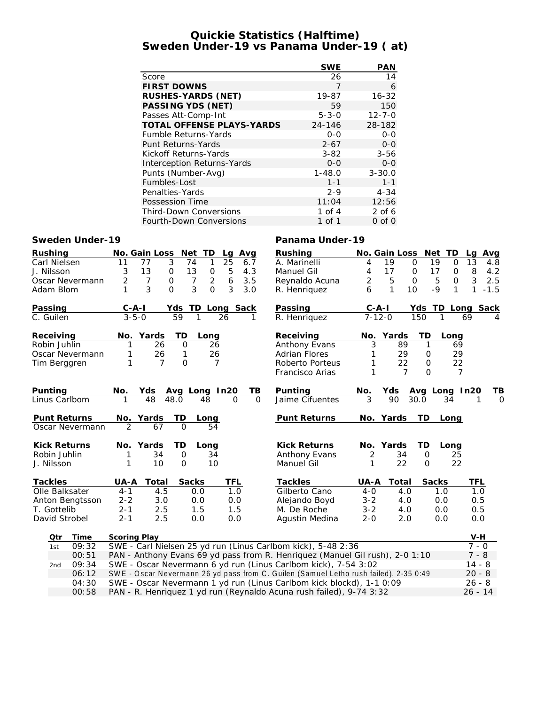## **Quickie Statistics (Halftime) Sweden Under-19 vs Panama Under-19 ( at)**

|                                  | <b>SWE</b>  | <b>PAN</b>   |
|----------------------------------|-------------|--------------|
| Score                            | 26          | 14           |
| <b>FIRST DOWNS</b>               | 7           | 6            |
| RUSHES-YARDS (NET)               | 19-87       | $16 - 32$    |
| PASSING YDS (NET)                | 59          | 150          |
| Passes Att-Comp-Int              | $5 - 3 - 0$ | $12 - 7 - 0$ |
| <b>TOTAL OFFENSE PLAYS-YARDS</b> | 24-146      | 28-182       |
| <b>Fumble Returns-Yards</b>      | $0 - 0$     | $0 - 0$      |
| Punt Returns-Yards               | $2 - 67$    | $0 - 0$      |
| Kickoff Returns-Yards            | $3 - 82$    | $3 - 56$     |
| Interception Returns-Yards       | $0 - 0$     | $0 - 0$      |
| Punts (Number-Avg)               | $1 - 48.0$  | $3 - 30.0$   |
| Fumbles-Lost                     | $1 - 1$     | $1 - 1$      |
| Penalties-Yards                  | $2 - 9$     | $4 - 34$     |
| Possession Time                  | 11:04       | 12:56        |
| <b>Third-Down Conversions</b>    | 1 of 4      | 2 of 6       |
| <b>Fourth-Down Conversions</b>   | 1 of 1      | $0$ of $0$   |

### **Sweden Under-19 Panama Under-19**

| Rushing             | No. Gain Loss<br>Net<br>TD<br>Avg<br>Lg                                               | Rushing              | No. Gain Loss<br>Net TD                     | Avg<br>La      |
|---------------------|---------------------------------------------------------------------------------------|----------------------|---------------------------------------------|----------------|
| Carl Nielsen        | 3<br>77<br>74<br>1<br>25<br>11<br>6.7                                                 | A. Marinelli         | 19<br>$\overline{0}$<br>19<br>$\Omega$<br>4 | 13<br>4.8      |
| J. Nilsson          | 5<br>13<br>$\mathsf{O}\xspace$<br>13<br>$\mathsf{O}\xspace$<br>4.3<br>3               | Manuel Gil           | 17<br>17<br>4<br>0<br>0                     | 8<br>4.2       |
| Oscar Nevermann     | $\overline{2}$<br>6<br>$\overline{7}$<br>$\overline{7}$<br>2<br>$\mathbf 0$<br>3.5    | Reynaldo Acuna       | 2<br>5<br>$\mathsf{O}$<br>5<br>O            | 3<br>2.5       |
| Adam Blom           | $\Omega$<br>3<br>3<br>3<br>$\Omega$<br>3.0<br>1                                       | R. Henriquez         | 6<br>1<br>10<br>$-9$<br>1                   | 1<br>$-1.5$    |
| Passing             | $C - A - I$<br>Yds TD<br>Sack<br>Long                                                 | Passing              | Yds TD Long Sack<br>$C-A-I$                 |                |
| C. Guilen           | $3 - 5 - 0$<br>59<br>1<br>26<br>1                                                     | R. Henriquez         | $7 - 12 - 0$<br>150<br>1                    | 69             |
| Receiving           | TD<br>Yards<br>No.<br>Long                                                            | Receiving            | Yards<br>TD<br>No.<br>Long                  |                |
| Robin Juhlin        | 26<br>$\Omega$<br>26<br>1                                                             | Anthony Evans        | 3<br>89<br>$\mathbf{1}$                     | 69             |
| Oscar Nevermann     | 26<br>26<br>1<br>1                                                                    | <b>Adrian Flores</b> | 29<br>$\mathcal{O}$                         | 29             |
| Tim Berggren        | 1<br>$\Omega$<br>$\overline{7}$<br>$\overline{7}$                                     | Roberto Porteus      | 22<br>$\Omega$<br>1                         | 22             |
|                     |                                                                                       | Francisco Arias      | 1<br>$\overline{7}$<br>$\Omega$             | $\overline{7}$ |
| Punting             | No.<br>Yds<br>Avg Long In20<br>TВ                                                     | Punting              | No.<br>Yds<br>Avg Long In20                 | ΤB             |
| Linus Carlbom       | 48<br>48<br>1<br>48.0<br>O<br>$\Omega$                                                | Jaime Cifuentes      | 3<br>90<br>30.0<br>34                       | $\Omega$       |
| Punt Returns        | No. Yards<br>TD<br>Long                                                               | <b>Punt Returns</b>  | No. Yards<br><b>TD</b><br>Long              |                |
| Oscar Nevermann     | $\mathfrak{D}$<br>$\Omega$<br>54<br>67                                                |                      |                                             |                |
| <b>Kick Returns</b> | TD<br>No. Yards<br>Long                                                               | <b>Kick Returns</b>  | No. Yards<br>TD<br>Long                     |                |
| Robin Juhlin        | 34<br>$\mathsf{O}$<br>34                                                              | Anthony Evans        | $\overline{2}$<br>34<br>$\mathsf{O}$<br>25  |                |
| J. Nilsson          | 10<br>$\mathbf{O}$<br>10                                                              | Manuel Gil           | 22<br>22<br>1<br>$\mathbf 0$                |                |
| Tackles             | Sacks<br>Total<br>TFL<br>UA-A                                                         | Tackles              | UA-A<br>Total<br>Sacks                      | TFL            |
| Olle Balksater      | $4 - 1$<br>1.0<br>4.5<br>0.0                                                          | Gilberto Cano        | $4-0$<br>4.0<br>1.0                         | 1.0            |
| Anton Bengtsson     | $2 - 2$<br>3.0<br>0.0<br>0.0                                                          | Alejando Boyd        | $3 - 2$<br>4.0<br>0.0                       | 0.5            |
| T. Gottelib         | $2 - 1$<br>2.5<br>1.5<br>1.5                                                          | M. De Roche          | $3 - 2$<br>4.0<br>0.0                       | 0.5            |
| David Strobel       | $2 - 1$<br>2.5<br>0.0<br>0.0                                                          | Agustin Medina       | $2 - 0$<br>2.0<br>0.0                       | 0.0            |
| Qtr<br>Time         | Scoring Play                                                                          |                      |                                             | $V-H$          |
| 09:32<br>1st        | SWE - Carl Nielsen 25 yd run (Linus Carlbom kick), 5-48 2:36                          |                      |                                             | $7 - 0$        |
| 00:51               | PAN - Anthony Evans 69 yd pass from R. Henriquez (Manuel Gil rush), 2-0 1:10          |                      |                                             | $7 - 8$        |
| 09:34<br>2nd        | SWE - Oscar Nevermann 6 yd run (Linus Carlbom kick), 7-54 3:02                        |                      |                                             | $14 - 8$       |
| 06:12               | SWE - Oscar Nevermann 26 yd pass from C. Guilen (Samuel Letho rush failed), 2-35 0:49 |                      |                                             | $20 - 8$       |
| 04:30               | SWE - Oscar Nevermann 1 yd run (Linus Carlbom kick blockd), 1-1 0:09                  |                      |                                             | $26 - 8$       |

00:58 PAN - R. Henriquez 1 yd run (Reynaldo Acuna rush failed), 9-74 3:32 26 - 14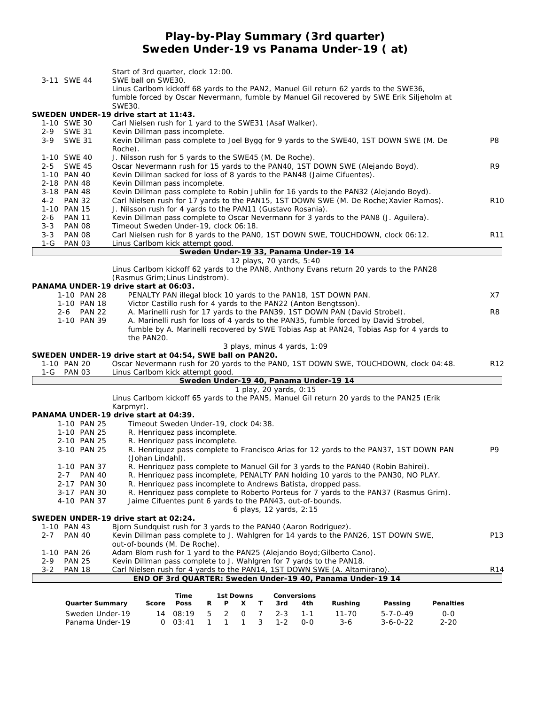## **Play-by-Play Summary (3rd quarter) Sweden Under-19 vs Panama Under-19 ( at)**

| 3-11 SWE 44                                        | Start of 3rd quarter, clock 12:00.<br>SWE ball on SWE30.                                                                                |                 |
|----------------------------------------------------|-----------------------------------------------------------------------------------------------------------------------------------------|-----------------|
|                                                    | Linus Carlbom kickoff 68 yards to the PAN2, Manuel Gil return 62 yards to the SWE36,                                                    |                 |
|                                                    | fumble forced by Oscar Nevermann, fumble by Manuel Gil recovered by SWE Erik Siljeholm at<br>SWE30.                                     |                 |
|                                                    | SWEDEN UNDER-19 drive start at 11:43.                                                                                                   |                 |
| 1-10 SWE 30                                        | Carl Nielsen rush for 1 yard to the SWE31 (Asaf Walker).                                                                                |                 |
| $2 - 9$<br><b>SWE 31</b>                           | Kevin Dillman pass incomplete.                                                                                                          |                 |
| $3-9$<br><b>SWE 31</b>                             | Kevin Dillman pass complete to Joel Bygg for 9 yards to the SWE40, 1ST DOWN SWE (M. De                                                  | P <sub>8</sub>  |
|                                                    | Roche).                                                                                                                                 |                 |
| 1-10 SWE 40                                        | J. Nilsson rush for 5 yards to the SWE45 (M. De Roche).                                                                                 |                 |
| <b>SWE 45</b><br>$2 - 5$                           | Oscar Nevermann rush for 15 yards to the PAN40, 1ST DOWN SWE (Alejando Boyd).                                                           | R9              |
| 1-10 PAN 40                                        | Kevin Dillman sacked for loss of 8 yards to the PAN48 (Jaime Cifuentes).                                                                |                 |
| 2-18 PAN 48                                        | Kevin Dillman pass incomplete.                                                                                                          |                 |
| 3-18 PAN 48                                        | Kevin Dillman pass complete to Robin Juhlin for 16 yards to the PAN32 (Alejando Boyd).                                                  |                 |
| 4-2 PAN 32                                         | Carl Nielsen rush for 17 yards to the PAN15, 1ST DOWN SWE (M. De Roche; Xavier Ramos).                                                  | <b>R10</b>      |
| 1-10 PAN 15                                        | J. Nilsson rush for 4 yards to the PAN11 (Gustavo Rosania).                                                                             |                 |
| $2 - 6$<br><b>PAN 11</b>                           | Kevin Dillman pass complete to Oscar Nevermann for 3 yards to the PAN8 (J. Aguilera).                                                   |                 |
| $3 - 3$<br><b>PAN 08</b>                           | Timeout Sweden Under-19, clock 06:18.                                                                                                   |                 |
| <b>PAN 08</b><br>$3 - 3$<br>$1-G$<br><b>PAN 03</b> | Carl Nielsen rush for 8 yards to the PANO, 1ST DOWN SWE, TOUCHDOWN, clock 06:12.                                                        | R <sub>11</sub> |
|                                                    | Linus Carlbom kick attempt good.<br>Sweden Under-19 33, Panama Under-19 14                                                              |                 |
|                                                    | 12 plays, 70 yards, 5:40                                                                                                                |                 |
|                                                    | Linus Carlbom kickoff 62 yards to the PAN8, Anthony Evans return 20 yards to the PAN28                                                  |                 |
|                                                    | (Rasmus Grim; Linus Lindstrom).                                                                                                         |                 |
|                                                    | PANAMA UNDER-19 drive start at 06:03.                                                                                                   |                 |
| 1-10 PAN 28                                        | PENALTY PAN illegal block 10 yards to the PAN18, 1ST DOWN PAN.                                                                          | X7              |
| 1-10 PAN 18                                        | Victor Castillo rush for 4 yards to the PAN22 (Anton Bengtsson).                                                                        |                 |
| 2-6 PAN 22                                         | A. Marinelli rush for 17 yards to the PAN39, 1ST DOWN PAN (David Strobel).                                                              | R8              |
| 1-10 PAN 39                                        | A. Marinelli rush for loss of 4 yards to the PAN35, fumble forced by David Strobel,                                                     |                 |
|                                                    | fumble by A. Marinelli recovered by SWE Tobias Asp at PAN24, Tobias Asp for 4 yards to                                                  |                 |
|                                                    | the PAN20.                                                                                                                              |                 |
|                                                    | 3 plays, minus 4 yards, 1:09                                                                                                            |                 |
|                                                    | SWEDEN UNDER-19 drive start at 04:54, SWE ball on PAN20.                                                                                |                 |
| 1-10 PAN 20                                        | Oscar Nevermann rush for 20 yards to the PANO, 1ST DOWN SWE, TOUCHDOWN, clock 04:48.                                                    | R <sub>12</sub> |
| 1-G PAN 03                                         | Linus Carlbom kick attempt good.<br>Sweden Under-19 40, Panama Under-19 14                                                              |                 |
|                                                    | 1 play, 20 yards, 0:15                                                                                                                  |                 |
|                                                    | Linus Carlbom kickoff 65 yards to the PAN5, Manuel Gil return 20 yards to the PAN25 (Erik                                               |                 |
|                                                    | Karpmyr).                                                                                                                               |                 |
|                                                    | PANAMA UNDER-19 drive start at 04:39.                                                                                                   |                 |
| 1-10 PAN 25                                        | Timeout Sweden Under-19, clock 04:38.                                                                                                   |                 |
| 1-10 PAN 25<br>2-10 PAN 25                         | R. Henriquez pass incomplete.                                                                                                           |                 |
| 3-10 PAN 25                                        | R. Henriquez pass incomplete.<br>R. Henriquez pass complete to Francisco Arias for 12 yards to the PAN37, 1ST DOWN PAN                  | P9              |
|                                                    | (Johan Lindahl).                                                                                                                        |                 |
| 1-10 PAN 37                                        | R. Henriquez pass complete to Manuel Gil for 3 yards to the PAN40 (Robin Bahirei).                                                      |                 |
| 2-7 PAN 40                                         | R. Henriquez pass incomplete, PENALTY PAN holding 10 yards to the PAN30, NO PLAY.                                                       |                 |
| 2-17 PAN 30                                        | R. Henriquez pass incomplete to Andrews Batista, dropped pass.                                                                          |                 |
| 3-17 PAN 30                                        | R. Henriquez pass complete to Roberto Porteus for 7 yards to the PAN37 (Rasmus Grim).                                                   |                 |
| 4-10 PAN 37                                        | Jaime Cifuentes punt 6 yards to the PAN43, out-of-bounds.                                                                               |                 |
|                                                    | 6 plays, 12 yards, 2:15                                                                                                                 |                 |
|                                                    | SWEDEN UNDER-19 drive start at 02:24.                                                                                                   |                 |
| 1-10 PAN 43                                        | Bjorn Sundquist rush for 3 yards to the PAN40 (Aaron Rodriguez).                                                                        |                 |
| $2 - 7$<br><b>PAN 40</b>                           | Kevin Dillman pass complete to J. Wahlgren for 14 yards to the PAN26, 1ST DOWN SWE,                                                     | P <sub>13</sub> |
|                                                    | out-of-bounds (M. De Roche).                                                                                                            |                 |
| 1-10 PAN 26                                        | Adam Blom rush for 1 yard to the PAN25 (Alejando Boyd; Gilberto Cano).                                                                  |                 |
| $2 - 9$<br><b>PAN 25</b>                           | Kevin Dillman pass complete to J. Wahlgren for 7 yards to the PAN18.                                                                    |                 |
| $3 - 2$<br><b>PAN 18</b>                           | Carl Nielsen rush for 4 yards to the PAN14, 1ST DOWN SWE (A. Altamirano).<br>END OF 3rd QUARTER: Sweden Under-19 40, Panama Under-19 14 | R <sub>14</sub> |
|                                                    |                                                                                                                                         |                 |
|                                                    | Time<br>1st Downs<br>Conversions                                                                                                        |                 |

|                 |       | Time                     |   | 1st Downs |  | Conversions |                 |     |         |                  |           |
|-----------------|-------|--------------------------|---|-----------|--|-------------|-----------------|-----|---------|------------------|-----------|
| Quarter Summary | Score | <b>Poss</b>              | R | PX        |  |             | 3rd             | 4th | Rushina | Passing          | Penalties |
| Sweden Under-19 |       | 14 08:19 5 2 0 7 2-3 1-1 |   |           |  |             |                 |     | 11-70   | $5 - 7 - 0 - 49$ | O-O       |
| Panama Under-19 |       | 0.03:41                  |   |           |  |             | 1 1 1 3 1-2 0-0 |     | $3-6$   | $3 - 6 - 0 - 22$ | 2-20      |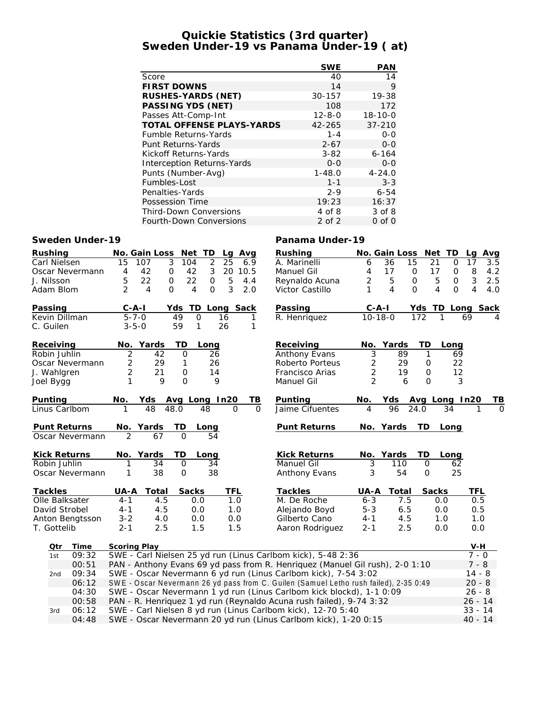## **Quickie Statistics (3rd quarter) Sweden Under-19 vs Panama Under-19 ( at)**

|                                  | <b>SWE</b>   | <b>PAN</b>    |
|----------------------------------|--------------|---------------|
| Score                            | 40           | 14            |
| <b>FIRST DOWNS</b>               | 14           | 9             |
| RUSHES-YARDS (NET)               | 30-157       | 19-38         |
| PASSING YDS (NET)                | 108          | 172           |
| Passes Att-Comp-Int              | $12 - 8 - 0$ | $18 - 10 - 0$ |
| <b>TOTAL OFFENSE PLAYS-YARDS</b> | 42-265       | $37 - 210$    |
| <b>Fumble Returns-Yards</b>      | $1 - 4$      | $0 - 0$       |
| Punt Returns-Yards               | $2 - 67$     | $0 - 0$       |
| Kickoff Returns-Yards            | $3 - 82$     | $6 - 164$     |
| Interception Returns-Yards       | $0 - 0$      | $0 - 0$       |
| Punts (Number-Avg)               | $1 - 48.0$   | $4 - 24.0$    |
| Fumbles-Lost                     | $1 - 1$      | $3 - 3$       |
| Penalties-Yards                  | $2 - 9$      | $6 - 54$      |
| Possession Time                  | 19:23        | 16:37         |
| <b>Third-Down Conversions</b>    | 4 of 8       | 3 of 8        |
| <b>Fourth-Down Conversions</b>   | $2$ of $2$   | $0$ of $0$    |

### **Sweden Under-19 Panama Under-19**

| Rushing      |                                                                                                                                                         |                | No. Gain Loss                                                | Net TD               |                | Avg<br>Lg              |          | Rushing                                                                               |                | No. Gain Loss |                     | Net TD        | Lq        | Avg |
|--------------|---------------------------------------------------------------------------------------------------------------------------------------------------------|----------------|--------------------------------------------------------------|----------------------|----------------|------------------------|----------|---------------------------------------------------------------------------------------|----------------|---------------|---------------------|---------------|-----------|-----|
| Carl Nielsen |                                                                                                                                                         | 15             | $\overline{3}$<br>107                                        | 104                  | $\overline{2}$ | $\overline{25}$<br>6.9 |          | A. Marinelli                                                                          | 6              | 36<br>15      | 21                  | $\mathbf{O}$  | 17        | 3.5 |
|              | Oscar Nevermann                                                                                                                                         | 4              | 42<br>$\mathbf 0$                                            | 42                   | $\mathfrak{Z}$ | 20<br>10.5             |          | Manuel Gil                                                                            | 4              | 17            | $\mathbf 0$<br>17   | $\mathsf{O}$  | 8         | 4.2 |
| J. Nilsson   |                                                                                                                                                         | 5              | 22<br>$\mathbf{O}$                                           | 22                   | $\mathsf O$    | 5<br>4.4               |          | Reynaldo Acuna                                                                        | 2              | 5             | $\mathsf{O}$        | 5<br>$\Omega$ | 3         | 2.5 |
| Adam Blom    |                                                                                                                                                         | $\overline{2}$ | 4<br>$\Omega$                                                | 4                    | $\Omega$       | 3<br>2.0               |          | Victor Castillo                                                                       | 1              | 4             | $\Omega$            | $\Omega$<br>4 | 4         | 4.0 |
| Passing      |                                                                                                                                                         | $C - A - I$    |                                                              | TD<br>Yds            |                | Long Sack              |          | Passing                                                                               | $C-A-I$        |               | Yds                 | TD.           | Long Sack |     |
|              | Kevin Dillman                                                                                                                                           | $5 - 7 - 0$    |                                                              | 49<br>$\overline{O}$ | 16             | 1                      |          | R. Henriquez                                                                          | $10 - 18 - 0$  |               | 172                 | 1             | 69        |     |
| C. Guilen    |                                                                                                                                                         | $3 - 5 - 0$    |                                                              | 59<br>1              | 26             | 1                      |          |                                                                                       |                |               |                     |               |           |     |
| Receiving    |                                                                                                                                                         |                | No. Yards                                                    | TD                   | Long           |                        |          | Receiving                                                                             | No.            | Yards         | TD                  | Long          |           |     |
| Robin Juhlin |                                                                                                                                                         | $\overline{2}$ | 42                                                           | $\Omega$             | 26             |                        |          | <b>Anthony Evans</b>                                                                  | $\overline{3}$ | 89            | $\mathbf{1}$        | 69            |           |     |
|              | Oscar Nevermann                                                                                                                                         | $\overline{2}$ | 29                                                           | 1                    | 26             |                        |          | Roberto Porteus                                                                       | 2              | 29            | $\mathbf 0$         | 22            |           |     |
| J. Wahlgren  |                                                                                                                                                         | $\overline{2}$ | 21                                                           | 0                    | 14             |                        |          | Francisco Arias                                                                       | 2              | 19            | $\mathbf 0$         | 12            |           |     |
| Joel Bygg    |                                                                                                                                                         | 1              | 9                                                            | $\Omega$             | 9              |                        |          | Manuel Gil                                                                            | $\overline{2}$ | 6             | $\Omega$            | 3             |           |     |
| Punting      |                                                                                                                                                         | No.            | Yds Avg Long In20                                            |                      |                | TВ                     |          | Punting                                                                               | No.            | Yds           |                     | Avg Long In20 |           | ΤB  |
|              | Linus Carlbom                                                                                                                                           |                | 48                                                           | 48.0                 | 48             | $\Omega$               | $\Omega$ | Jaime Cifuentes                                                                       | 4              | 96            | 24.0                | 34            |           | Ω   |
|              | Punt Returns                                                                                                                                            |                | No. Yards                                                    | TD                   | Long           |                        |          | <b>Punt Returns</b>                                                                   | No.            | Yards         | TD                  | Long          |           |     |
|              | Oscar Nevermann                                                                                                                                         | $\overline{2}$ | 67                                                           | $\Omega$             | 54             |                        |          |                                                                                       |                |               |                     |               |           |     |
|              | <b>Kick Returns</b>                                                                                                                                     |                | No. Yards                                                    | ТD                   | Long           |                        |          | <b>Kick Returns</b>                                                                   |                | No. Yards     | TD                  | Long          |           |     |
| Robin Juhlin |                                                                                                                                                         |                | 34                                                           | $\Omega$             | 34             |                        |          | <b>Manuel Gil</b>                                                                     | 3              | 110           | $\mathbf 0$         | 62            |           |     |
|              | Oscar Nevermann                                                                                                                                         | 1              | 38                                                           | $\mathsf{O}\xspace$  | 38             |                        |          | Anthony Evans                                                                         | 3              | 54            | $\mathsf{O}\xspace$ | 25            |           |     |
| Tackles      |                                                                                                                                                         | UA-A           | Total                                                        | Sacks                |                | <b>TFL</b>             |          | Tackles                                                                               | UA-A           | Total         | Sacks               |               | TFL       |     |
|              | Olle Balksater                                                                                                                                          | $4 - 1$        | 4.5                                                          | 0.0                  |                | 1.0                    |          | M. De Roche                                                                           | $6 - 3$        | 7.5           |                     | 0.0           | 0.5       |     |
|              | David Strobel                                                                                                                                           | $4 - 1$        | 4.5                                                          | 0.0                  |                | 1.0                    |          | Alejando Boyd                                                                         | $5 - 3$        | 6.5           |                     | 0.0           | 0.5       |     |
|              | Anton Bengtsson                                                                                                                                         | $3 - 2$        | 4.0                                                          | 0.0                  |                | 0.0                    |          | Gilberto Cano                                                                         | $4 - 1$        | 4.5           |                     | 1.0           | 1.0       |     |
| T. Gottelib  |                                                                                                                                                         | $2 - 1$        | 2.5                                                          | 1.5                  |                | 1.5                    |          | Aaron Rodriguez                                                                       | $2 - 1$        | 2.5           |                     | 0.0           | 0.0       |     |
| Qtr          | Time                                                                                                                                                    | Scoring Play   |                                                              |                      |                |                        |          |                                                                                       |                |               |                     |               | V-H       |     |
| 1st          | 09:32                                                                                                                                                   |                |                                                              |                      |                |                        |          | SWE - Carl Nielsen 25 yd run (Linus Carlbom kick), 5-48 2:36                          |                |               |                     |               | $7 - 0$   |     |
|              | 00:51                                                                                                                                                   |                |                                                              |                      |                |                        |          |                                                                                       |                |               |                     |               | $7 - 8$   |     |
| 2nd          | PAN - Anthony Evans 69 yd pass from R. Henriquez (Manuel Gil rush), 2-0 1:10<br>SWE - Oscar Nevermann 6 yd run (Linus Carlbom kick), 7-54 3:02<br>09:34 |                |                                                              |                      |                |                        |          |                                                                                       | $14 - 8$       |               |                     |               |           |     |
|              | 06:12                                                                                                                                                   |                |                                                              |                      |                |                        |          | SWE - Oscar Nevermann 26 yd pass from C. Guilen (Samuel Letho rush failed), 2-35 0:49 |                |               |                     |               | $20 - 8$  |     |
|              | 04:30                                                                                                                                                   |                |                                                              |                      |                |                        |          | SWE - Oscar Nevermann 1 yd run (Linus Carlbom kick blockd), 1-1 0:09                  |                |               |                     |               | $26 - 8$  |     |
|              | 00:58                                                                                                                                                   |                |                                                              |                      |                |                        |          | PAN - R. Henriquez 1 yd run (Reynaldo Acuna rush failed), 9-74 3:32                   |                |               |                     |               | $26 - 14$ |     |
| 3rd          | 06:12                                                                                                                                                   |                |                                                              |                      |                |                        |          |                                                                                       |                |               |                     |               | $33 - 14$ |     |
|              |                                                                                                                                                         |                | SWE - Carl Nielsen 8 yd run (Linus Carlbom kick), 12-70 5:40 |                      |                |                        |          |                                                                                       |                |               |                     |               |           |     |

04:48 SWE - Oscar Nevermann 20 yd run (Linus Carlbom kick), 1-20 0:15 40 - 14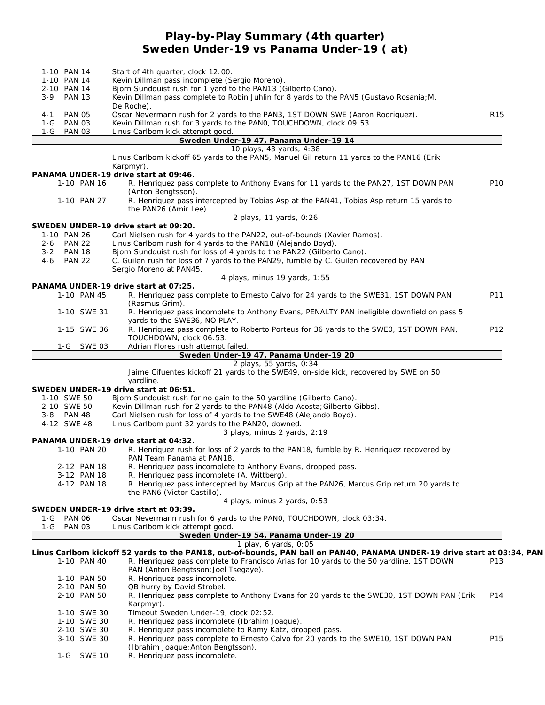## **Play-by-Play Summary (4th quarter) Sweden Under-19 vs Panama Under-19 ( at)**

|         | 1-10 PAN 14                | Start of 4th quarter, clock 12:00.                                                                                       |                 |
|---------|----------------------------|--------------------------------------------------------------------------------------------------------------------------|-----------------|
|         | 1-10 PAN 14                | Kevin Dillman pass incomplete (Sergio Moreno).                                                                           |                 |
|         | 2-10 PAN 14                | Bjorn Sundquist rush for 1 yard to the PAN13 (Gilberto Cano).                                                            |                 |
| $3 - 9$ | <b>PAN 13</b>              | Kevin Dillman pass complete to Robin Juhlin for 8 yards to the PAN5 (Gustavo Rosania; M.<br>De Roche).                   |                 |
| 4-1     | PAN 05                     | Oscar Nevermann rush for 2 yards to the PAN3, 1ST DOWN SWE (Aaron Rodriguez).                                            | R <sub>15</sub> |
|         | 1-G PAN 03                 | Kevin Dillman rush for 3 yards to the PANO, TOUCHDOWN, clock 09:53.                                                      |                 |
| 1-G     | <b>PAN 03</b>              | Linus Carlbom kick attempt good.                                                                                         |                 |
|         |                            | Sweden Under-19 47, Panama Under-19 14                                                                                   |                 |
|         |                            | 10 plays, 43 yards, 4:38<br>Linus Carlbom kickoff 65 yards to the PAN5, Manuel Gil return 11 yards to the PAN16 (Erik    |                 |
|         |                            | Karpmyr).                                                                                                                |                 |
|         |                            | PANAMA UNDER-19 drive start at 09:46.                                                                                    |                 |
|         | 1-10 PAN 16                | R. Henriquez pass complete to Anthony Evans for 11 yards to the PAN27, 1ST DOWN PAN                                      | P <sub>10</sub> |
|         |                            | (Anton Bengtsson).                                                                                                       |                 |
|         | 1-10 PAN 27                | R. Henriquez pass intercepted by Tobias Asp at the PAN41, Tobias Asp return 15 yards to                                  |                 |
|         |                            | the PAN26 (Amir Lee).                                                                                                    |                 |
|         |                            | 2 plays, 11 yards, 0:26<br>SWEDEN UNDER-19 drive start at 09:20.                                                         |                 |
|         | 1-10 PAN 26                | Carl Nielsen rush for 4 yards to the PAN22, out-of-bounds (Xavier Ramos).                                                |                 |
|         | 2-6 PAN 22                 | Linus Carlbom rush for 4 yards to the PAN18 (Alejando Boyd).                                                             |                 |
| $3 - 2$ | <b>PAN 18</b>              | Bjorn Sundquist rush for loss of 4 yards to the PAN22 (Gilberto Cano).                                                   |                 |
| $4 - 6$ | <b>PAN 22</b>              | C. Guilen rush for loss of 7 yards to the PAN29, fumble by C. Guilen recovered by PAN                                    |                 |
|         |                            | Sergio Moreno at PAN45.                                                                                                  |                 |
|         |                            | 4 plays, minus 19 yards, 1:55                                                                                            |                 |
|         | 1-10 PAN 45                | PANAMA UNDER-19 drive start at 07:25.                                                                                    | P11             |
|         |                            | R. Henriquez pass complete to Ernesto Calvo for 24 yards to the SWE31, 1ST DOWN PAN<br>(Rasmus Grim).                    |                 |
|         | 1-10 SWE 31                | R. Henriquez pass incomplete to Anthony Evans, PENALTY PAN ineligible downfield on pass 5                                |                 |
|         |                            | yards to the SWE36, NO PLAY.                                                                                             |                 |
|         | 1-15 SWE 36                | R. Henriquez pass complete to Roberto Porteus for 36 yards to the SWEO, 1ST DOWN PAN,                                    | P12             |
|         |                            | TOUCHDOWN, clock 06:53.                                                                                                  |                 |
|         | 1-G SWE 03                 | Adrian Flores rush attempt failed.                                                                                       |                 |
|         |                            | Sweden Under-19 47, Panama Under-19 20<br>2 plays, 55 yards, 0:34                                                        |                 |
|         |                            | Jaime Cifuentes kickoff 21 yards to the SWE49, on-side kick, recovered by SWE on 50                                      |                 |
|         |                            | yardline.                                                                                                                |                 |
|         |                            | SWEDEN UNDER-19 drive start at 06:51.                                                                                    |                 |
|         | 1-10 SWE 50                | Bjorn Sundquist rush for no gain to the 50 yardline (Gilberto Cano).                                                     |                 |
|         | 2-10 SWE 50                | Kevin Dillman rush for 2 yards to the PAN48 (Aldo Acosta; Gilberto Gibbs).                                               |                 |
|         | 3-8 PAN 48                 | Carl Nielsen rush for loss of 4 yards to the SWE48 (Alejando Boyd).                                                      |                 |
|         | 4-12 SWE 48                | Linus Carlbom punt 32 yards to the PAN20, downed.                                                                        |                 |
|         |                            | 3 plays, minus 2 yards, 2:19                                                                                             |                 |
|         |                            | PANAMA UNDER-19 drive start at 04:32.                                                                                    |                 |
|         | 1-10 PAN 20                | R. Henriquez rush for loss of 2 yards to the PAN18, fumble by R. Henriquez recovered by<br>PAN Team Panama at PAN18.     |                 |
|         | 2-12 PAN 18                | R. Henriquez pass incomplete to Anthony Evans, dropped pass.                                                             |                 |
|         | 3-12 PAN 18                | R. Henriquez pass incomplete (A. Wittberg).                                                                              |                 |
|         | 4-12 PAN 18                | R. Henriquez pass intercepted by Marcus Grip at the PAN26, Marcus Grip return 20 yards to                                |                 |
|         |                            | the PAN6 (Victor Castillo).                                                                                              |                 |
|         |                            | 4 plays, minus 2 yards, 0:53                                                                                             |                 |
|         |                            | SWEDEN UNDER-19 drive start at 03:39.                                                                                    |                 |
|         | 1-G PAN 06<br>1-G PAN 03   | Oscar Nevermann rush for 6 yards to the PANO, TOUCHDOWN, clock 03:34.                                                    |                 |
|         |                            | Linus Carlbom kick attempt good.<br>Sweden Under-19 54, Panama Under-19 20                                               |                 |
|         |                            | 1 play, 6 yards, 0:05                                                                                                    |                 |
|         |                            | Linus Carlbom kickoff 52 yards to the PAN18, out-of-bounds, PAN ball on PAN40, PANAMA UNDER-19 drive start at 03:34, PAN |                 |
|         | 1-10 PAN 40                | R. Henriquez pass complete to Francisco Arias for 10 yards to the 50 yardline, 1ST DOWN                                  | P <sub>13</sub> |
|         |                            | PAN (Anton Bengtsson; Joel Tsegaye).                                                                                     |                 |
|         | 1-10 PAN 50                | R. Henriquez pass incomplete.                                                                                            |                 |
|         | 2-10 PAN 50                | QB hurry by David Strobel.                                                                                               |                 |
|         | 2-10 PAN 50                | R. Henriquez pass complete to Anthony Evans for 20 yards to the SWE30, 1ST DOWN PAN (Erik                                | P14             |
|         |                            | Karpmyr).                                                                                                                |                 |
|         | 1-10 SWE 30                | Timeout Sweden Under-19, clock 02:52.                                                                                    |                 |
|         | 1-10 SWE 30<br>2-10 SWE 30 | R. Henriquez pass incomplete (Ibrahim Joaque).<br>R. Henriquez pass incomplete to Ramy Katz, dropped pass.               |                 |
|         | 3-10 SWE 30                | R. Henriquez pass complete to Ernesto Calvo for 20 yards to the SWE10, 1ST DOWN PAN                                      | P15             |
|         |                            | (Ibrahim Joaque; Anton Bengtsson).                                                                                       |                 |
|         | 1-G SWE 10                 | R. Henriquez pass incomplete.                                                                                            |                 |
|         |                            |                                                                                                                          |                 |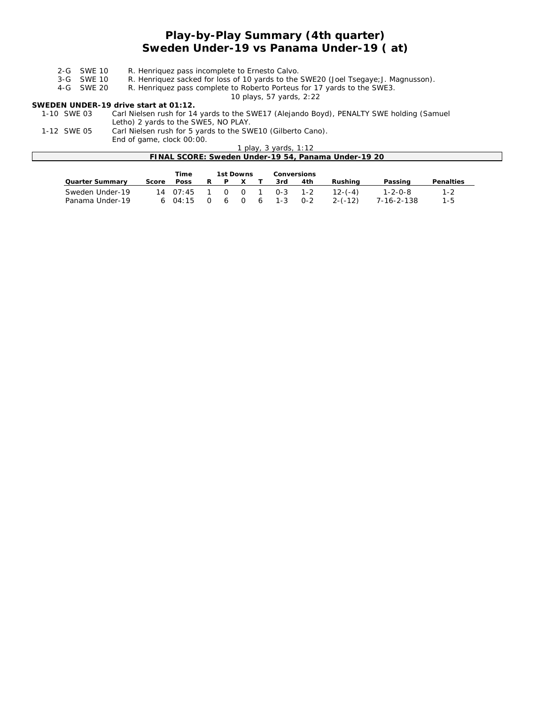# **Play-by-Play Summary (4th quarter) Sweden Under-19 vs Panama Under-19 ( at)**

| R. Henriquez pass incomplete to Ernesto Calvo.<br>2-G SWE 10 |  |
|--------------------------------------------------------------|--|
|--------------------------------------------------------------|--|

3-G SWE 10 R. Henriquez sacked for loss of 10 yards to the SWE20 (Joel Tsegaye; J. Magnusson).<br>4-G SWE 20 R. Henriquez pass complete to Roberto Porteus for 17 yards to the SWE3.

R. Henriquez pass complete to Roberto Porteus for 17 yards to the SWE3. *10 plays, 57 yards, 2:22*

**SWEDEN UNDER-19 drive start at 01:12.** Carl Nielsen rush for 14 yards to the SWE17 (Alejando Boyd), PENALTY SWE holding (Samuel Letho) 2 yards to the SWE5, NO PLAY.

1-12 SWE 05 Carl Nielsen rush for 5 yards to the SWE10 (Gilberto Cano). End of game, clock 00:00.

| $= 1.4$ or gainly order sorrow.                     |  |
|-----------------------------------------------------|--|
| ' plav. 3 vards. 1:12                               |  |
| FINAL SCORE: Sweden Under-19 54, Panama Under-19 20 |  |
|                                                     |  |

|                 |       | Time | 1st Downs |  | Conversions              |     |             |            |           |
|-----------------|-------|------|-----------|--|--------------------------|-----|-------------|------------|-----------|
| Quarter Summary | Score | Poss | RPXT      |  | 3rd                      | 4th | Rushina     | Passing    | Penalties |
| Sweden Under-19 |       |      |           |  | 14 07:45 1 0 0 1 0-3 1-2 |     | $12-(-4)$   | 1-2-0-8    | $1 - 2$   |
| Panama Under-19 |       |      |           |  | 6 04:15 0 6 0 6 1-3 0-2  |     | $2 - (-12)$ | 7-16-2-138 | $1 - 5$   |